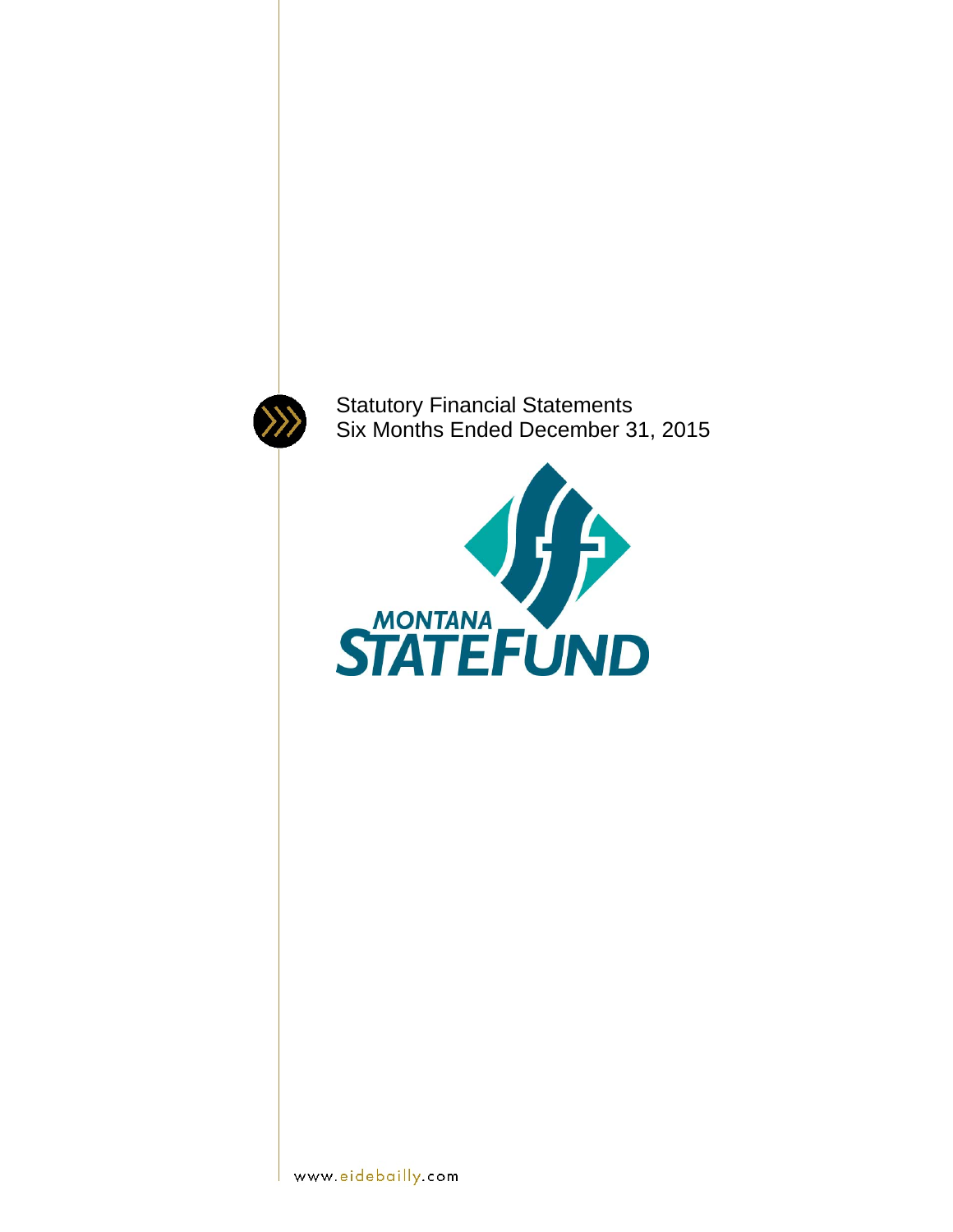

Statutory Financial Statements Six Months Ended December 31, 2015

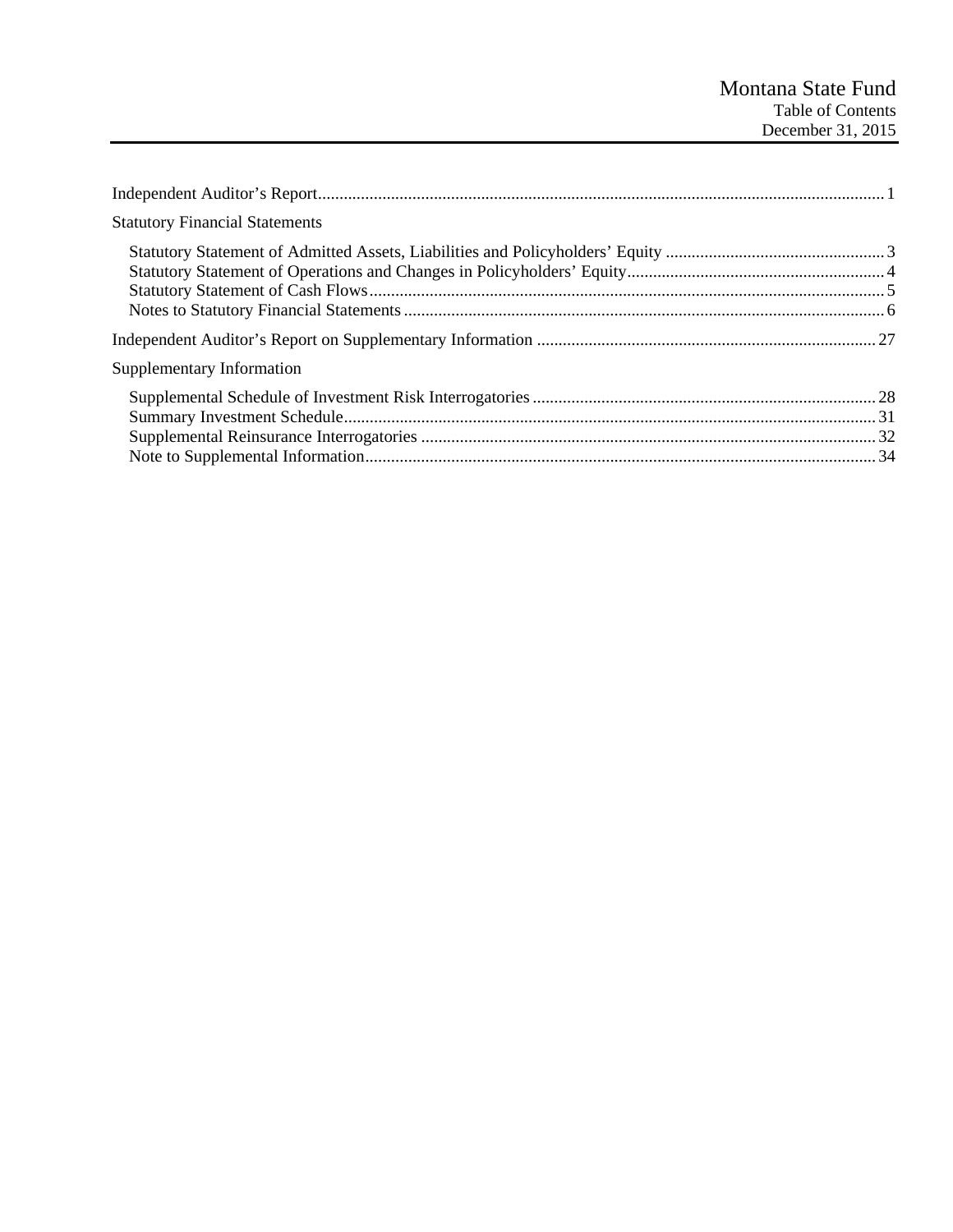| <b>Statutory Financial Statements</b> |  |
|---------------------------------------|--|
|                                       |  |
|                                       |  |
| Supplementary Information             |  |
|                                       |  |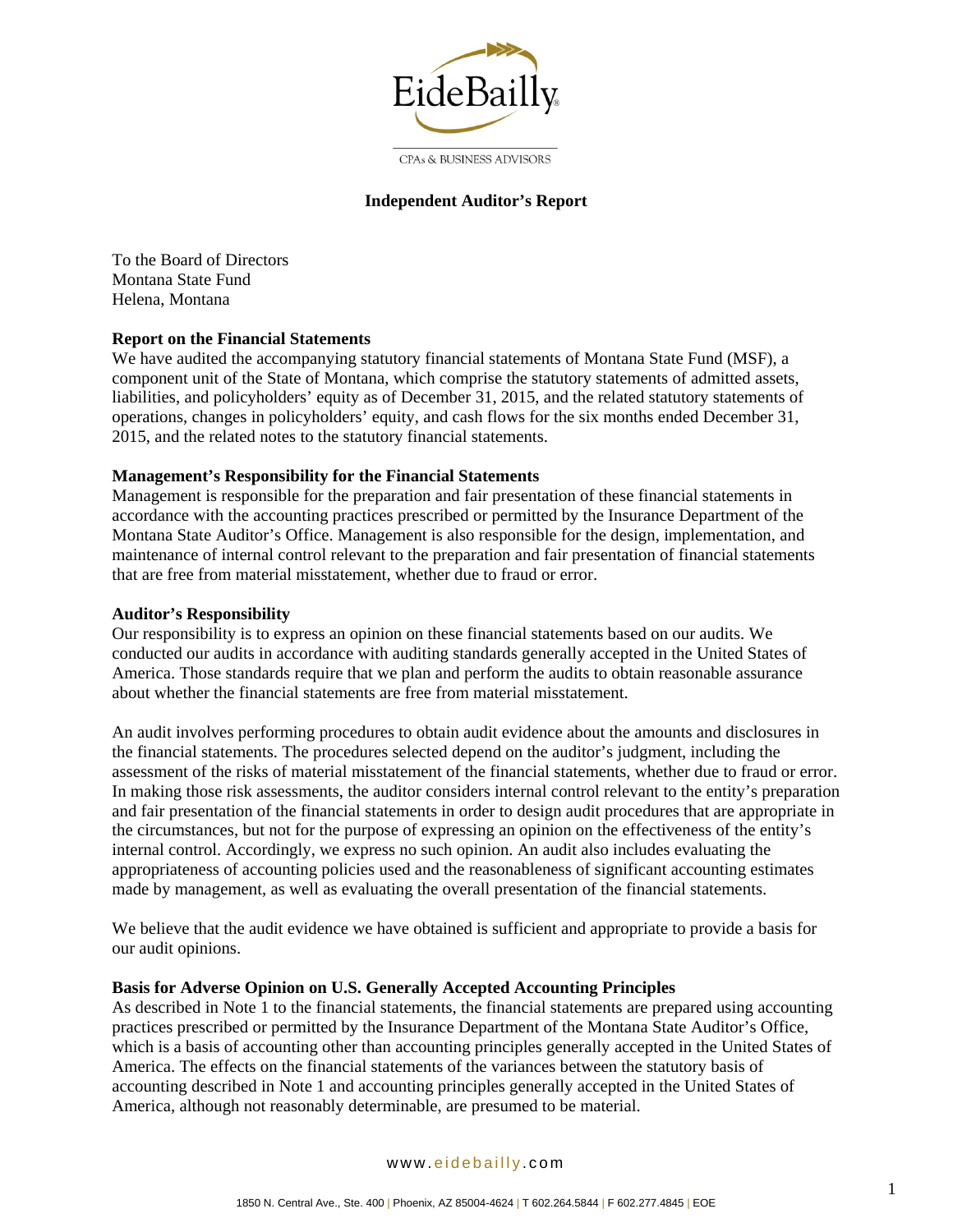

**CPAs & BUSINESS ADVISORS** 

### **Independent Auditor's Report**

To the Board of Directors Montana State Fund Helena, Montana

### **Report on the Financial Statements**

We have audited the accompanying statutory financial statements of Montana State Fund (MSF), a component unit of the State of Montana, which comprise the statutory statements of admitted assets, liabilities, and policyholders' equity as of December 31, 2015, and the related statutory statements of operations, changes in policyholders' equity, and cash flows for the six months ended December 31, 2015, and the related notes to the statutory financial statements.

### **Management's Responsibility for the Financial Statements**

Management is responsible for the preparation and fair presentation of these financial statements in accordance with the accounting practices prescribed or permitted by the Insurance Department of the Montana State Auditor's Office. Management is also responsible for the design, implementation, and maintenance of internal control relevant to the preparation and fair presentation of financial statements that are free from material misstatement, whether due to fraud or error.

### **Auditor's Responsibility**

Our responsibility is to express an opinion on these financial statements based on our audits. We conducted our audits in accordance with auditing standards generally accepted in the United States of America. Those standards require that we plan and perform the audits to obtain reasonable assurance about whether the financial statements are free from material misstatement.

An audit involves performing procedures to obtain audit evidence about the amounts and disclosures in the financial statements. The procedures selected depend on the auditor's judgment, including the assessment of the risks of material misstatement of the financial statements, whether due to fraud or error. In making those risk assessments, the auditor considers internal control relevant to the entity's preparation and fair presentation of the financial statements in order to design audit procedures that are appropriate in the circumstances, but not for the purpose of expressing an opinion on the effectiveness of the entity's internal control. Accordingly, we express no such opinion. An audit also includes evaluating the appropriateness of accounting policies used and the reasonableness of significant accounting estimates made by management, as well as evaluating the overall presentation of the financial statements.

We believe that the audit evidence we have obtained is sufficient and appropriate to provide a basis for our audit opinions.

### **Basis for Adverse Opinion on U.S. Generally Accepted Accounting Principles**

As described in Note 1 to the financial statements, the financial statements are prepared using accounting practices prescribed or permitted by the Insurance Department of the Montana State Auditor's Office, which is a basis of accounting other than accounting principles generally accepted in the United States of America. The effects on the financial statements of the variances between the statutory basis of accounting described in Note 1 and accounting principles generally accepted in the United States of America, although not reasonably determinable, are presumed to be material.

#### www. eidebailly .com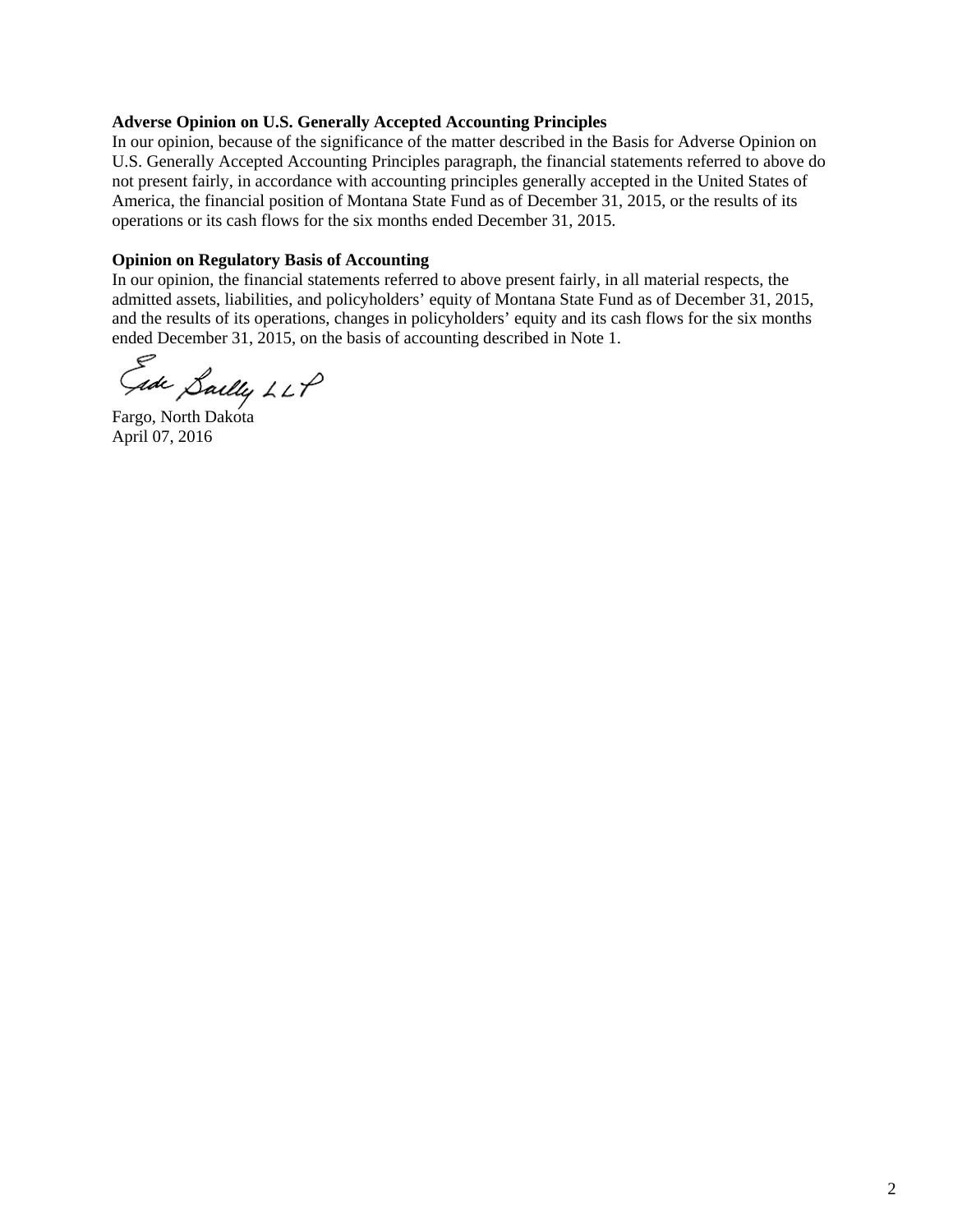#### **Adverse Opinion on U.S. Generally Accepted Accounting Principles**

In our opinion, because of the significance of the matter described in the Basis for Adverse Opinion on U.S. Generally Accepted Accounting Principles paragraph, the financial statements referred to above do not present fairly, in accordance with accounting principles generally accepted in the United States of America, the financial position of Montana State Fund as of December 31, 2015, or the results of its operations or its cash flows for the six months ended December 31, 2015.

#### **Opinion on Regulatory Basis of Accounting**

In our opinion, the financial statements referred to above present fairly, in all material respects, the admitted assets, liabilities, and policyholders' equity of Montana State Fund as of December 31, 2015, and the results of its operations, changes in policyholders' equity and its cash flows for the six months ended December 31, 2015, on the basis of accounting described in Note 1.

Gide Sailly LLP

Fargo, North Dakota April 07, 2016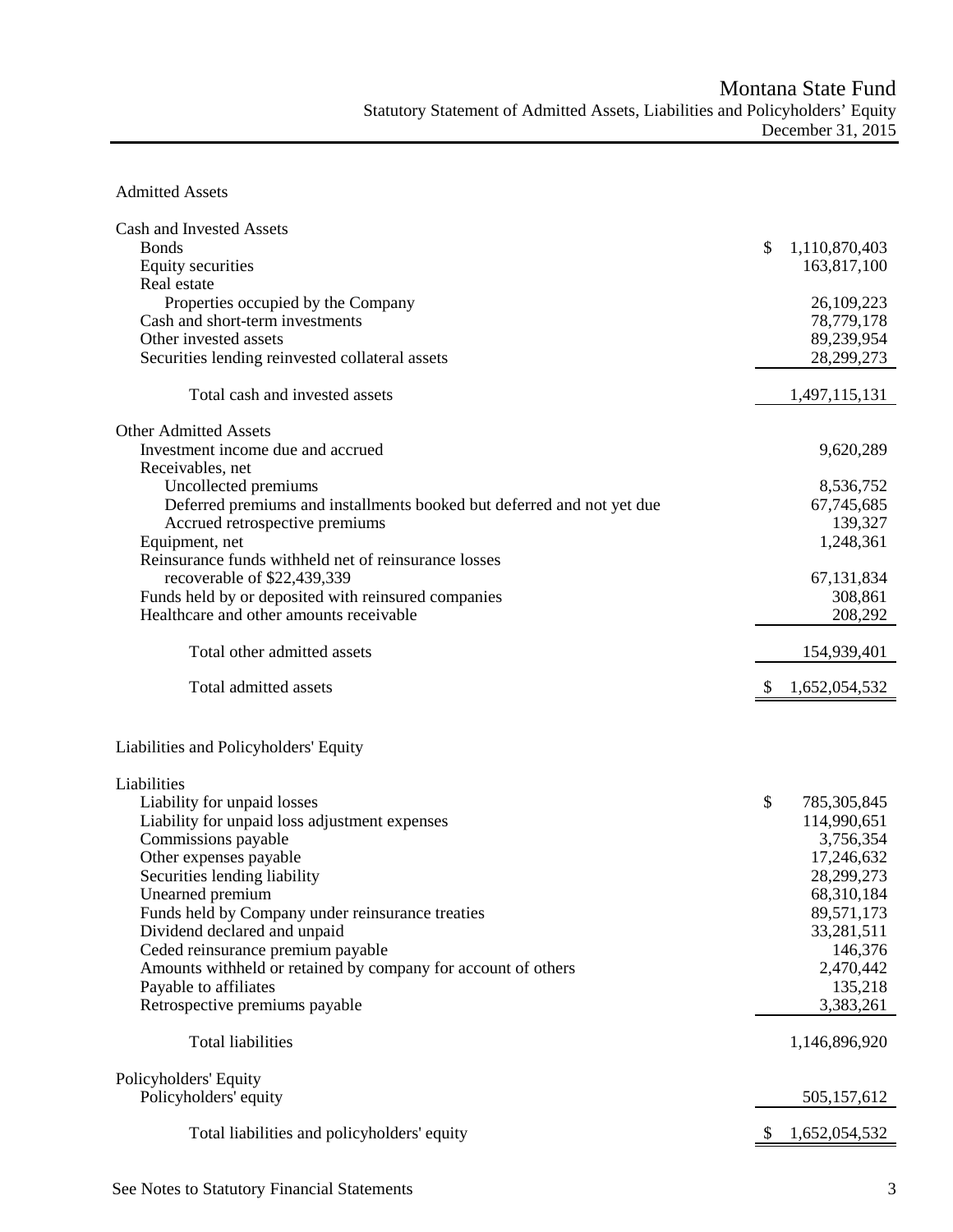## Admitted Assets

| Cash and Invested Assets                                                                       |    |                    |
|------------------------------------------------------------------------------------------------|----|--------------------|
| <b>Bonds</b>                                                                                   | \$ | 1,110,870,403      |
| <b>Equity securities</b>                                                                       |    | 163,817,100        |
| Real estate                                                                                    |    |                    |
| Properties occupied by the Company                                                             |    | 26, 109, 223       |
| Cash and short-term investments                                                                |    | 78,779,178         |
| Other invested assets                                                                          |    | 89,239,954         |
| Securities lending reinvested collateral assets                                                |    | 28,299,273         |
| Total cash and invested assets                                                                 |    | 1,497,115,131      |
| <b>Other Admitted Assets</b>                                                                   |    |                    |
| Investment income due and accrued                                                              |    | 9,620,289          |
| Receivables, net                                                                               |    |                    |
| Uncollected premiums                                                                           |    | 8,536,752          |
| Deferred premiums and installments booked but deferred and not yet due                         |    | 67,745,685         |
| Accrued retrospective premiums                                                                 |    | 139,327            |
| Equipment, net                                                                                 |    | 1,248,361          |
| Reinsurance funds withheld net of reinsurance losses                                           |    |                    |
| recoverable of \$22,439,339                                                                    |    | 67, 131, 834       |
| Funds held by or deposited with reinsured companies<br>Healthcare and other amounts receivable |    | 308,861<br>208,292 |
|                                                                                                |    |                    |
| Total other admitted assets                                                                    |    | 154,939,401        |
| Total admitted assets                                                                          | У, | 1,652,054,532      |
| Liabilities and Policyholders' Equity                                                          |    |                    |
| Liabilities                                                                                    |    |                    |
| Liability for unpaid losses                                                                    | \$ | 785, 305, 845      |
| Liability for unpaid loss adjustment expenses                                                  |    | 114,990,651        |
| Commissions payable                                                                            |    | 3,756,354          |
| Other expenses payable                                                                         |    | 17,246,632         |
| Securities lending liability                                                                   |    | 28,299,273         |
| Unearned premium                                                                               |    | 68,310,184         |
| Funds held by Company under reinsurance treaties                                               |    | 89,571,173         |
| Dividend declared and unpaid                                                                   |    | 33,281,511         |
| Ceded reinsurance premium payable                                                              |    | 146,376            |
| Amounts withheld or retained by company for account of others                                  |    | 2,470,442          |
| Payable to affiliates                                                                          |    | 135,218            |
| Retrospective premiums payable                                                                 |    | 3,383,261          |
| <b>Total liabilities</b>                                                                       |    | 1,146,896,920      |
| Policyholders' Equity                                                                          |    |                    |
| Policyholders' equity                                                                          |    | 505,157,612        |
| Total liabilities and policyholders' equity                                                    | \$ | 1,652,054,532      |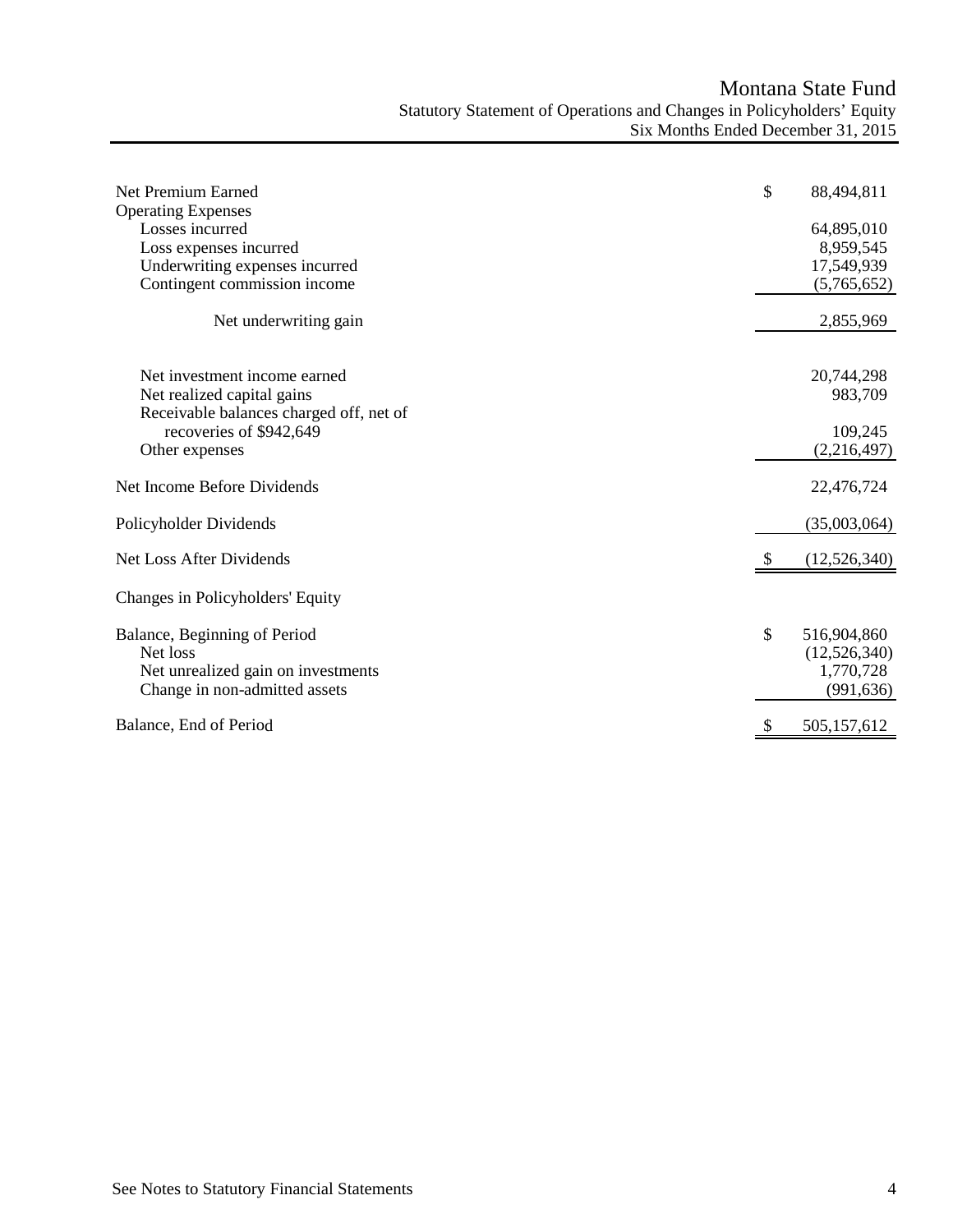| Net Premium Earned                           | \$ | 88,494,811     |
|----------------------------------------------|----|----------------|
| <b>Operating Expenses</b><br>Losses incurred |    | 64,895,010     |
| Loss expenses incurred                       |    | 8,959,545      |
| Underwriting expenses incurred               |    | 17,549,939     |
| Contingent commission income                 |    | (5,765,652)    |
| Net underwriting gain                        |    | 2,855,969      |
| Net investment income earned                 |    | 20,744,298     |
| Net realized capital gains                   |    | 983,709        |
| Receivable balances charged off, net of      |    |                |
| recoveries of \$942,649                      |    | 109,245        |
| Other expenses                               |    | (2,216,497)    |
| Net Income Before Dividends                  |    | 22,476,724     |
| Policyholder Dividends                       |    | (35,003,064)   |
| Net Loss After Dividends                     |    | (12, 526, 340) |
| Changes in Policyholders' Equity             |    |                |
| Balance, Beginning of Period                 | \$ | 516,904,860    |
| Net loss                                     |    | (12,526,340)   |
| Net unrealized gain on investments           |    | 1,770,728      |
| Change in non-admitted assets                |    | (991, 636)     |
| Balance, End of Period                       | S  | 505,157,612    |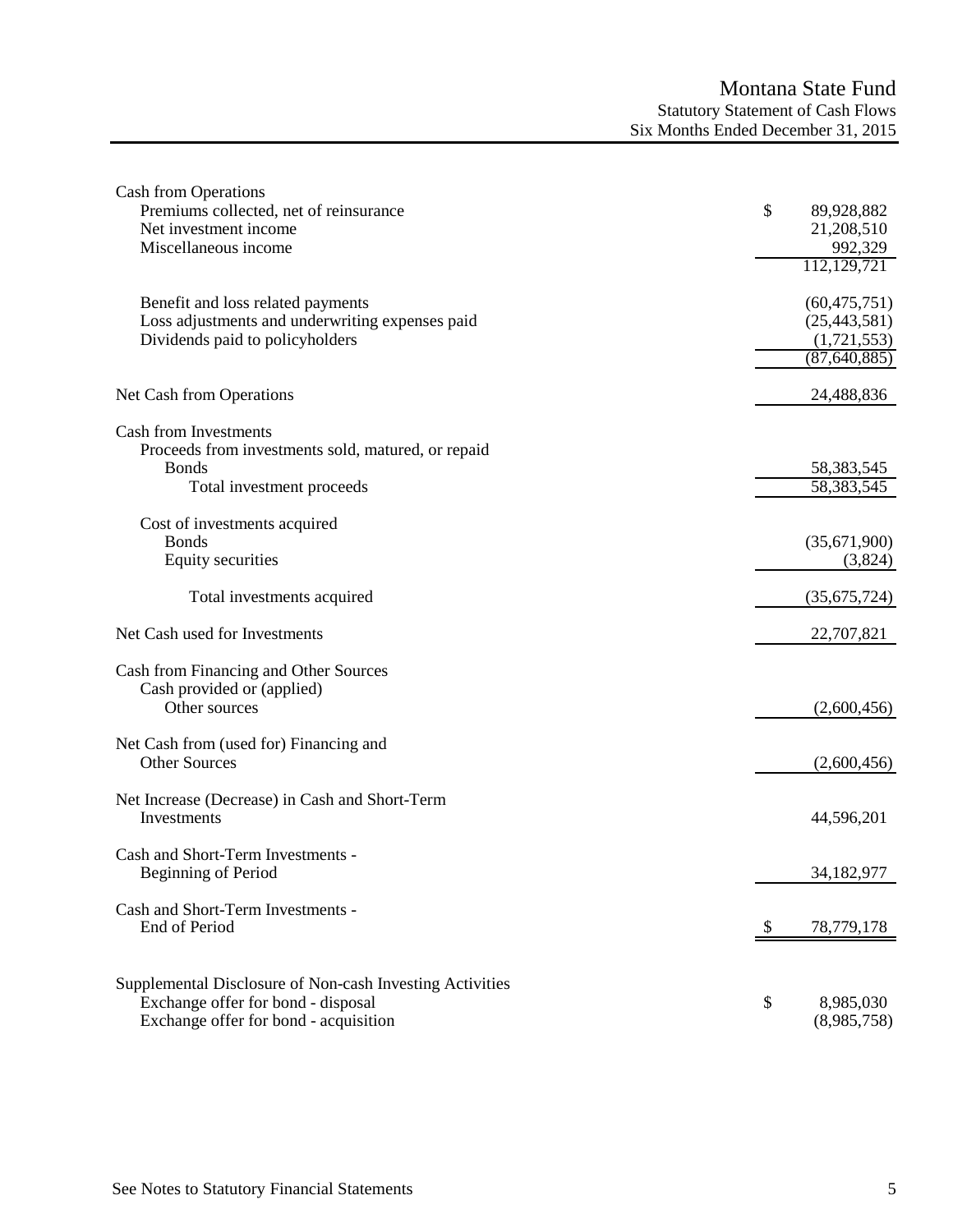| <b>Cash from Operations</b>                              |                  |
|----------------------------------------------------------|------------------|
| Premiums collected, net of reinsurance                   | \$<br>89,928,882 |
| Net investment income                                    | 21,208,510       |
| Miscellaneous income                                     | 992,329          |
|                                                          | 112,129,721      |
| Benefit and loss related payments                        | (60, 475, 751)   |
| Loss adjustments and underwriting expenses paid          | (25, 443, 581)   |
| Dividends paid to policyholders                          | (1,721,553)      |
|                                                          | (87, 640, 885)   |
| Net Cash from Operations                                 | 24,488,836       |
| <b>Cash from Investments</b>                             |                  |
| Proceeds from investments sold, matured, or repaid       |                  |
| <b>Bonds</b>                                             | 58, 383, 545     |
| Total investment proceeds                                | 58,383,545       |
| Cost of investments acquired                             |                  |
| <b>Bonds</b>                                             | (35,671,900)     |
| <b>Equity securities</b>                                 | (3,824)          |
| Total investments acquired                               | (35,675,724)     |
| Net Cash used for Investments                            | 22,707,821       |
| Cash from Financing and Other Sources                    |                  |
| Cash provided or (applied)                               |                  |
| Other sources                                            | (2,600,456)      |
| Net Cash from (used for) Financing and                   |                  |
| <b>Other Sources</b>                                     | (2,600,456)      |
| Net Increase (Decrease) in Cash and Short-Term           |                  |
| Investments                                              | 44,596,201       |
| Cash and Short-Term Investments -                        |                  |
| <b>Beginning of Period</b>                               | 34,182,977       |
| Cash and Short-Term Investments -                        |                  |
| End of Period                                            | \$<br>78,779,178 |
|                                                          |                  |
| Supplemental Disclosure of Non-cash Investing Activities |                  |
| Exchange offer for bond - disposal                       | \$<br>8,985,030  |
| Exchange offer for bond - acquisition                    | (8,985,758)      |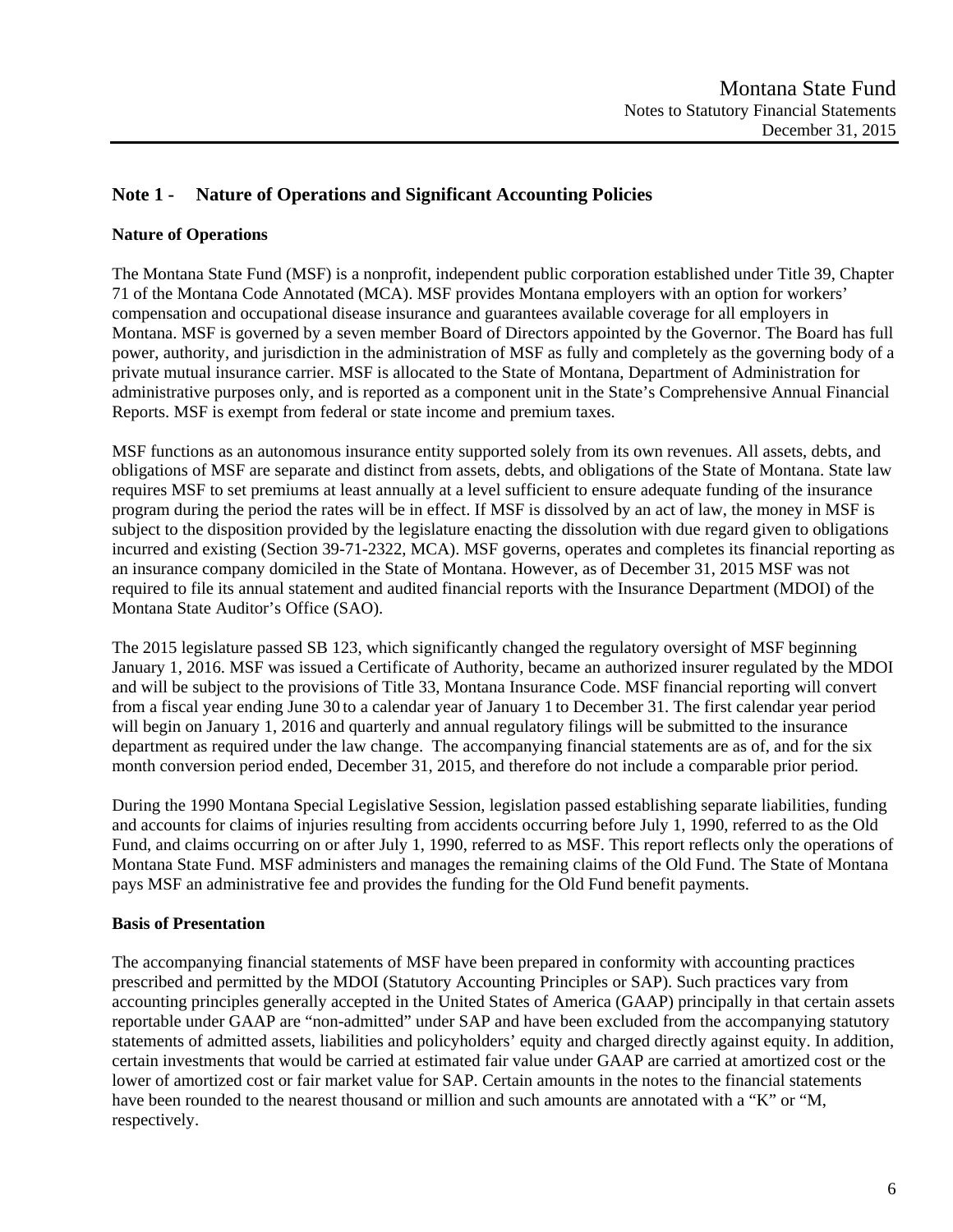## **Note 1 - Nature of Operations and Significant Accounting Policies**

### **Nature of Operations**

The Montana State Fund (MSF) is a nonprofit, independent public corporation established under Title 39, Chapter 71 of the Montana Code Annotated (MCA). MSF provides Montana employers with an option for workers' compensation and occupational disease insurance and guarantees available coverage for all employers in Montana. MSF is governed by a seven member Board of Directors appointed by the Governor. The Board has full power, authority, and jurisdiction in the administration of MSF as fully and completely as the governing body of a private mutual insurance carrier. MSF is allocated to the State of Montana, Department of Administration for administrative purposes only, and is reported as a component unit in the State's Comprehensive Annual Financial Reports. MSF is exempt from federal or state income and premium taxes.

MSF functions as an autonomous insurance entity supported solely from its own revenues. All assets, debts, and obligations of MSF are separate and distinct from assets, debts, and obligations of the State of Montana. State law requires MSF to set premiums at least annually at a level sufficient to ensure adequate funding of the insurance program during the period the rates will be in effect. If MSF is dissolved by an act of law, the money in MSF is subject to the disposition provided by the legislature enacting the dissolution with due regard given to obligations incurred and existing (Section 39-71-2322, MCA). MSF governs, operates and completes its financial reporting as an insurance company domiciled in the State of Montana. However, as of December 31, 2015 MSF was not required to file its annual statement and audited financial reports with the Insurance Department (MDOI) of the Montana State Auditor's Office (SAO).

The 2015 legislature passed SB 123, which significantly changed the regulatory oversight of MSF beginning January 1, 2016. MSF was issued a Certificate of Authority, became an authorized insurer regulated by the MDOI and will be subject to the provisions of Title 33, Montana Insurance Code. MSF financial reporting will convert from a fiscal year ending June 30 to a calendar year of January 1 to December 31. The first calendar year period will begin on January 1, 2016 and quarterly and annual regulatory filings will be submitted to the insurance department as required under the law change. The accompanying financial statements are as of, and for the six month conversion period ended, December 31, 2015, and therefore do not include a comparable prior period.

During the 1990 Montana Special Legislative Session, legislation passed establishing separate liabilities, funding and accounts for claims of injuries resulting from accidents occurring before July 1, 1990, referred to as the Old Fund, and claims occurring on or after July 1, 1990, referred to as MSF. This report reflects only the operations of Montana State Fund. MSF administers and manages the remaining claims of the Old Fund. The State of Montana pays MSF an administrative fee and provides the funding for the Old Fund benefit payments.

### **Basis of Presentation**

The accompanying financial statements of MSF have been prepared in conformity with accounting practices prescribed and permitted by the MDOI (Statutory Accounting Principles or SAP). Such practices vary from accounting principles generally accepted in the United States of America (GAAP) principally in that certain assets reportable under GAAP are "non-admitted" under SAP and have been excluded from the accompanying statutory statements of admitted assets, liabilities and policyholders' equity and charged directly against equity. In addition, certain investments that would be carried at estimated fair value under GAAP are carried at amortized cost or the lower of amortized cost or fair market value for SAP. Certain amounts in the notes to the financial statements have been rounded to the nearest thousand or million and such amounts are annotated with a "K" or "M, respectively.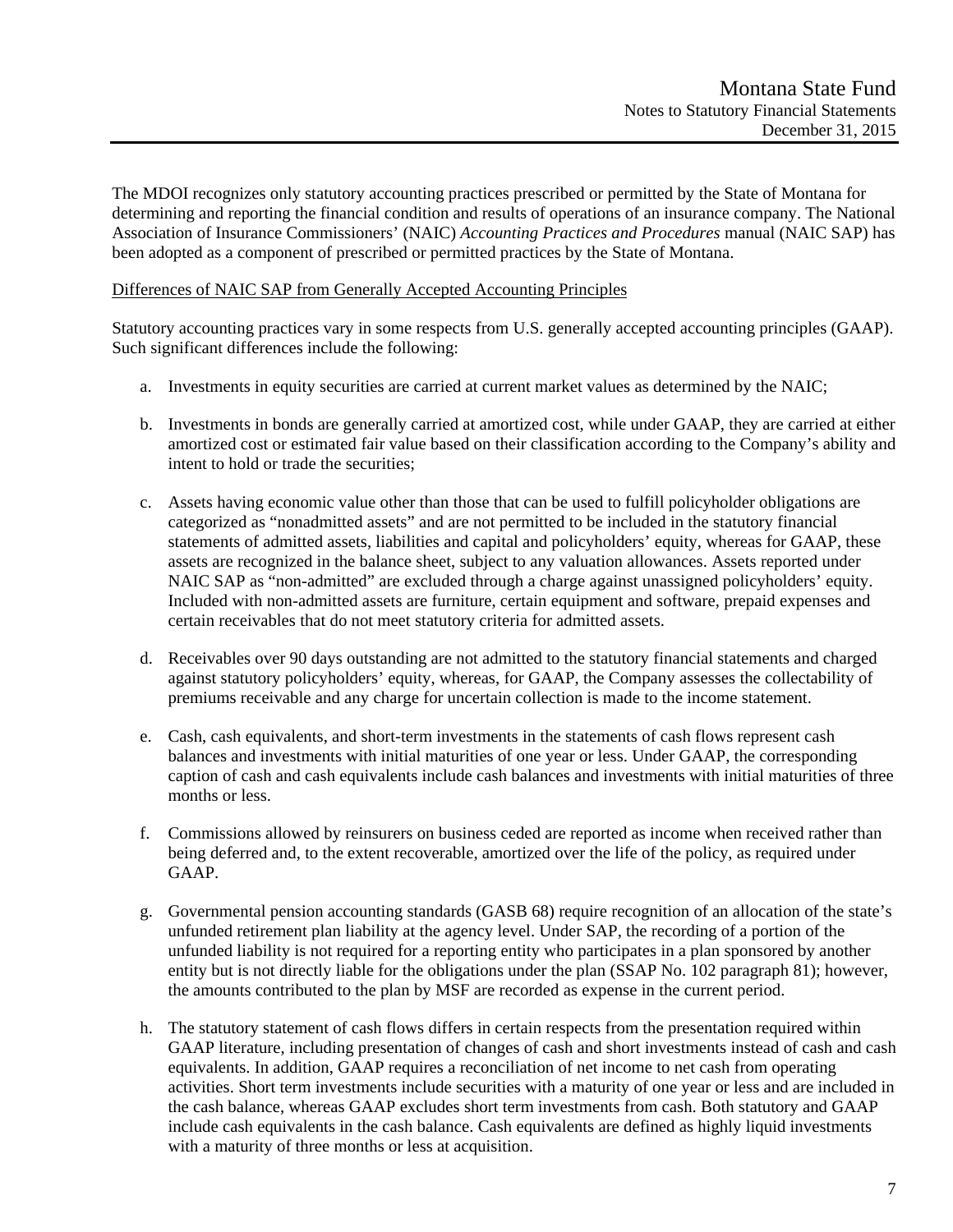The MDOI recognizes only statutory accounting practices prescribed or permitted by the State of Montana for determining and reporting the financial condition and results of operations of an insurance company. The National Association of Insurance Commissioners' (NAIC) *Accounting Practices and Procedures* manual (NAIC SAP) has been adopted as a component of prescribed or permitted practices by the State of Montana.

### Differences of NAIC SAP from Generally Accepted Accounting Principles

Statutory accounting practices vary in some respects from U.S. generally accepted accounting principles (GAAP). Such significant differences include the following:

- a. Investments in equity securities are carried at current market values as determined by the NAIC;
- b. Investments in bonds are generally carried at amortized cost, while under GAAP, they are carried at either amortized cost or estimated fair value based on their classification according to the Company's ability and intent to hold or trade the securities;
- c. Assets having economic value other than those that can be used to fulfill policyholder obligations are categorized as "nonadmitted assets" and are not permitted to be included in the statutory financial statements of admitted assets, liabilities and capital and policyholders' equity, whereas for GAAP, these assets are recognized in the balance sheet, subject to any valuation allowances. Assets reported under NAIC SAP as "non-admitted" are excluded through a charge against unassigned policyholders' equity. Included with non-admitted assets are furniture, certain equipment and software, prepaid expenses and certain receivables that do not meet statutory criteria for admitted assets.
- d. Receivables over 90 days outstanding are not admitted to the statutory financial statements and charged against statutory policyholders' equity, whereas, for GAAP, the Company assesses the collectability of premiums receivable and any charge for uncertain collection is made to the income statement.
- e. Cash, cash equivalents, and short-term investments in the statements of cash flows represent cash balances and investments with initial maturities of one year or less. Under GAAP, the corresponding caption of cash and cash equivalents include cash balances and investments with initial maturities of three months or less.
- f. Commissions allowed by reinsurers on business ceded are reported as income when received rather than being deferred and, to the extent recoverable, amortized over the life of the policy, as required under GAAP.
- g. Governmental pension accounting standards (GASB 68) require recognition of an allocation of the state's unfunded retirement plan liability at the agency level. Under SAP, the recording of a portion of the unfunded liability is not required for a reporting entity who participates in a plan sponsored by another entity but is not directly liable for the obligations under the plan (SSAP No. 102 paragraph 81); however, the amounts contributed to the plan by MSF are recorded as expense in the current period.
- h. The statutory statement of cash flows differs in certain respects from the presentation required within GAAP literature, including presentation of changes of cash and short investments instead of cash and cash equivalents. In addition, GAAP requires a reconciliation of net income to net cash from operating activities. Short term investments include securities with a maturity of one year or less and are included in the cash balance, whereas GAAP excludes short term investments from cash. Both statutory and GAAP include cash equivalents in the cash balance. Cash equivalents are defined as highly liquid investments with a maturity of three months or less at acquisition.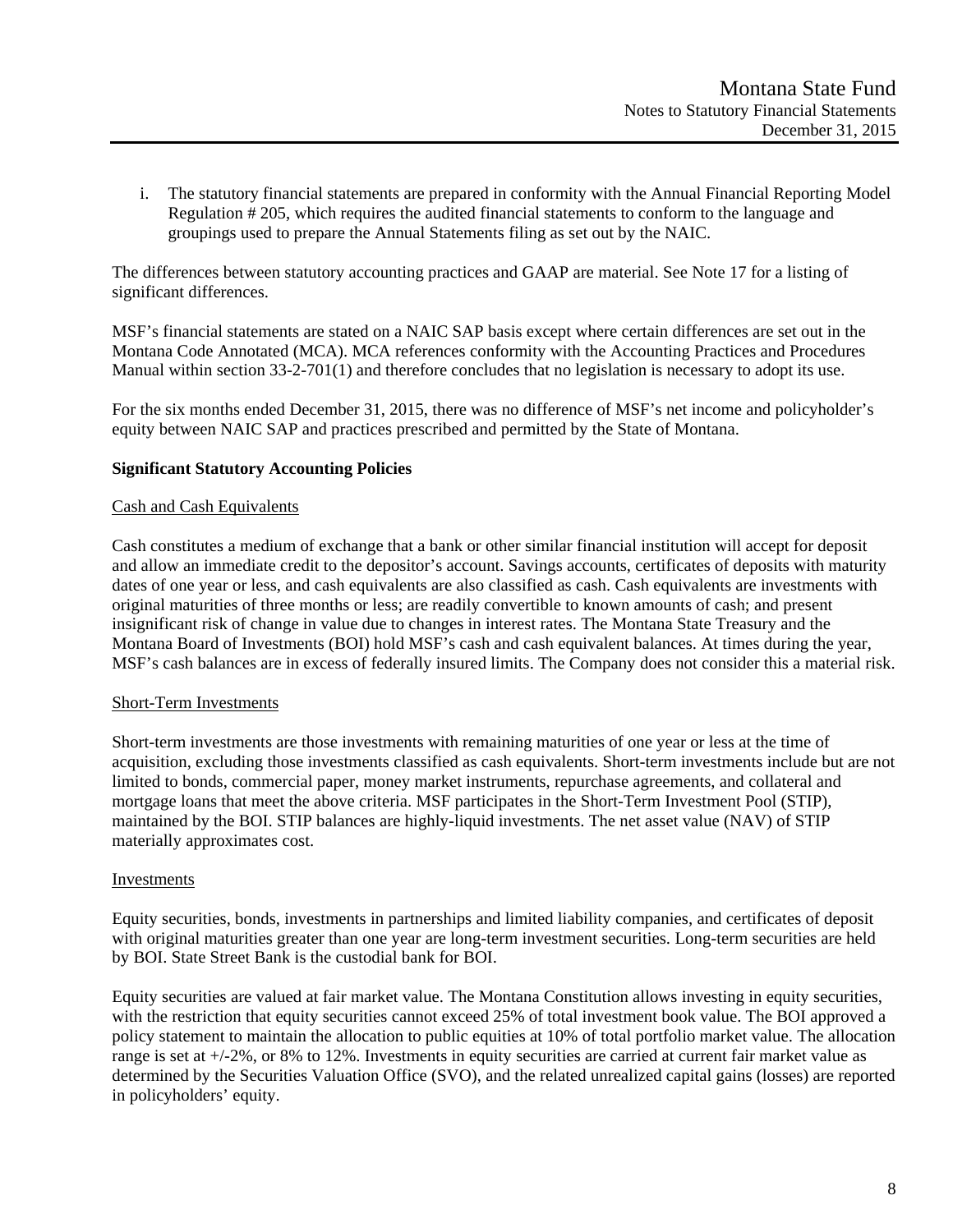i. The statutory financial statements are prepared in conformity with the Annual Financial Reporting Model Regulation # 205, which requires the audited financial statements to conform to the language and groupings used to prepare the Annual Statements filing as set out by the NAIC.

The differences between statutory accounting practices and GAAP are material. See Note 17 for a listing of significant differences.

MSF's financial statements are stated on a NAIC SAP basis except where certain differences are set out in the Montana Code Annotated (MCA). MCA references conformity with the Accounting Practices and Procedures Manual within section 33-2-701(1) and therefore concludes that no legislation is necessary to adopt its use.

For the six months ended December 31, 2015, there was no difference of MSF's net income and policyholder's equity between NAIC SAP and practices prescribed and permitted by the State of Montana.

### **Significant Statutory Accounting Policies**

#### Cash and Cash Equivalents

Cash constitutes a medium of exchange that a bank or other similar financial institution will accept for deposit and allow an immediate credit to the depositor's account. Savings accounts, certificates of deposits with maturity dates of one year or less, and cash equivalents are also classified as cash. Cash equivalents are investments with original maturities of three months or less; are readily convertible to known amounts of cash; and present insignificant risk of change in value due to changes in interest rates. The Montana State Treasury and the Montana Board of Investments (BOI) hold MSF's cash and cash equivalent balances. At times during the year, MSF's cash balances are in excess of federally insured limits. The Company does not consider this a material risk.

### Short-Term Investments

Short-term investments are those investments with remaining maturities of one year or less at the time of acquisition, excluding those investments classified as cash equivalents. Short-term investments include but are not limited to bonds, commercial paper, money market instruments, repurchase agreements, and collateral and mortgage loans that meet the above criteria. MSF participates in the Short-Term Investment Pool (STIP), maintained by the BOI. STIP balances are highly-liquid investments. The net asset value (NAV) of STIP materially approximates cost.

#### Investments

Equity securities, bonds, investments in partnerships and limited liability companies, and certificates of deposit with original maturities greater than one year are long-term investment securities. Long-term securities are held by BOI. State Street Bank is the custodial bank for BOI.

Equity securities are valued at fair market value. The Montana Constitution allows investing in equity securities, with the restriction that equity securities cannot exceed 25% of total investment book value. The BOI approved a policy statement to maintain the allocation to public equities at 10% of total portfolio market value. The allocation range is set at +/-2%, or 8% to 12%. Investments in equity securities are carried at current fair market value as determined by the Securities Valuation Office (SVO), and the related unrealized capital gains (losses) are reported in policyholders' equity.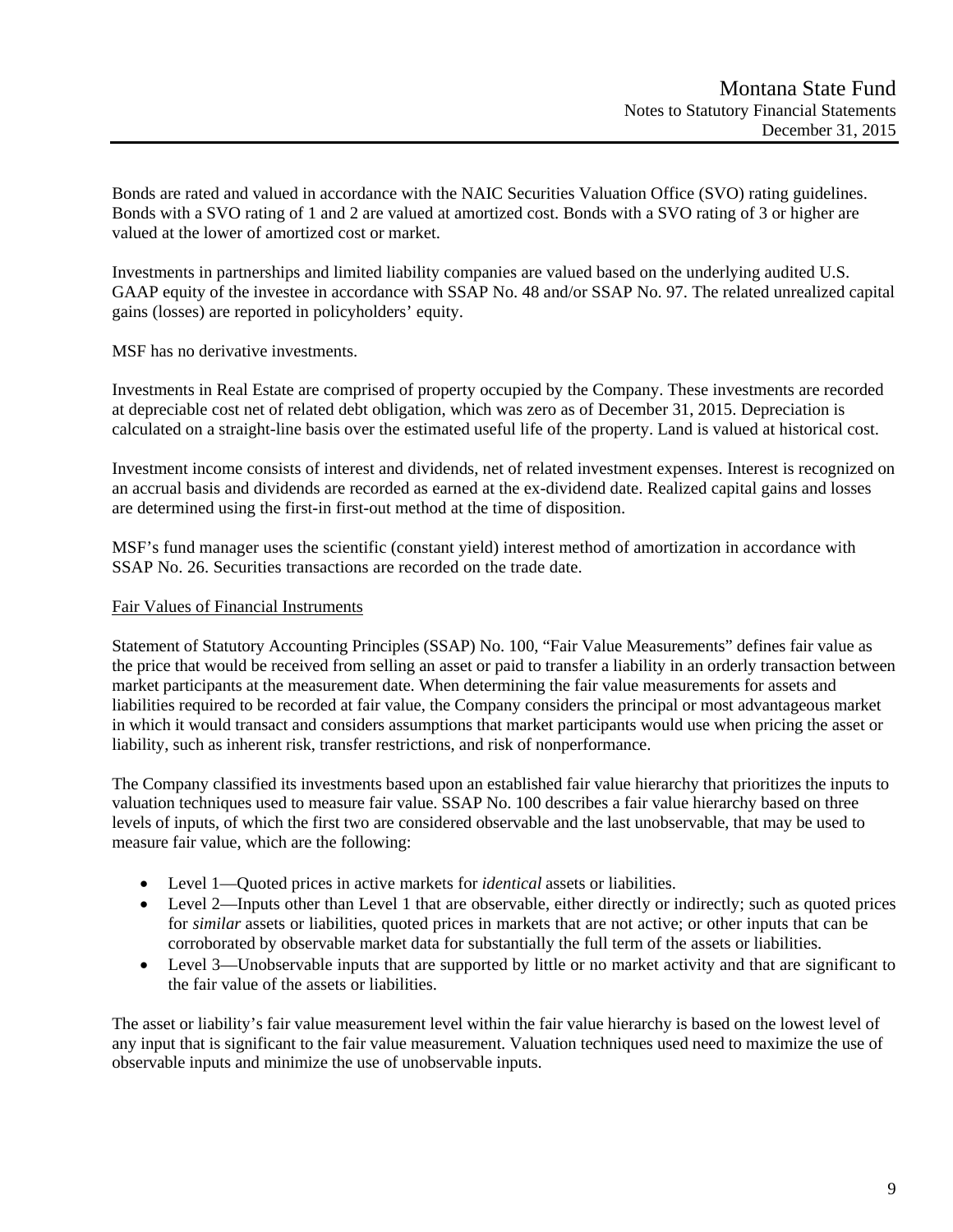Bonds are rated and valued in accordance with the NAIC Securities Valuation Office (SVO) rating guidelines. Bonds with a SVO rating of 1 and 2 are valued at amortized cost. Bonds with a SVO rating of 3 or higher are valued at the lower of amortized cost or market.

Investments in partnerships and limited liability companies are valued based on the underlying audited U.S. GAAP equity of the investee in accordance with SSAP No. 48 and/or SSAP No. 97. The related unrealized capital gains (losses) are reported in policyholders' equity.

MSF has no derivative investments.

Investments in Real Estate are comprised of property occupied by the Company. These investments are recorded at depreciable cost net of related debt obligation, which was zero as of December 31, 2015. Depreciation is calculated on a straight-line basis over the estimated useful life of the property. Land is valued at historical cost.

Investment income consists of interest and dividends, net of related investment expenses. Interest is recognized on an accrual basis and dividends are recorded as earned at the ex-dividend date. Realized capital gains and losses are determined using the first-in first-out method at the time of disposition.

MSF's fund manager uses the scientific (constant yield) interest method of amortization in accordance with SSAP No. 26. Securities transactions are recorded on the trade date.

### Fair Values of Financial Instruments

Statement of Statutory Accounting Principles (SSAP) No. 100, "Fair Value Measurements" defines fair value as the price that would be received from selling an asset or paid to transfer a liability in an orderly transaction between market participants at the measurement date. When determining the fair value measurements for assets and liabilities required to be recorded at fair value, the Company considers the principal or most advantageous market in which it would transact and considers assumptions that market participants would use when pricing the asset or liability, such as inherent risk, transfer restrictions, and risk of nonperformance.

The Company classified its investments based upon an established fair value hierarchy that prioritizes the inputs to valuation techniques used to measure fair value. SSAP No. 100 describes a fair value hierarchy based on three levels of inputs, of which the first two are considered observable and the last unobservable, that may be used to measure fair value, which are the following:

- Level 1—Quoted prices in active markets for *identical* assets or liabilities.
- Level 2—Inputs other than Level 1 that are observable, either directly or indirectly; such as quoted prices for *similar* assets or liabilities, quoted prices in markets that are not active; or other inputs that can be corroborated by observable market data for substantially the full term of the assets or liabilities.
- Level 3—Unobservable inputs that are supported by little or no market activity and that are significant to the fair value of the assets or liabilities.

The asset or liability's fair value measurement level within the fair value hierarchy is based on the lowest level of any input that is significant to the fair value measurement. Valuation techniques used need to maximize the use of observable inputs and minimize the use of unobservable inputs.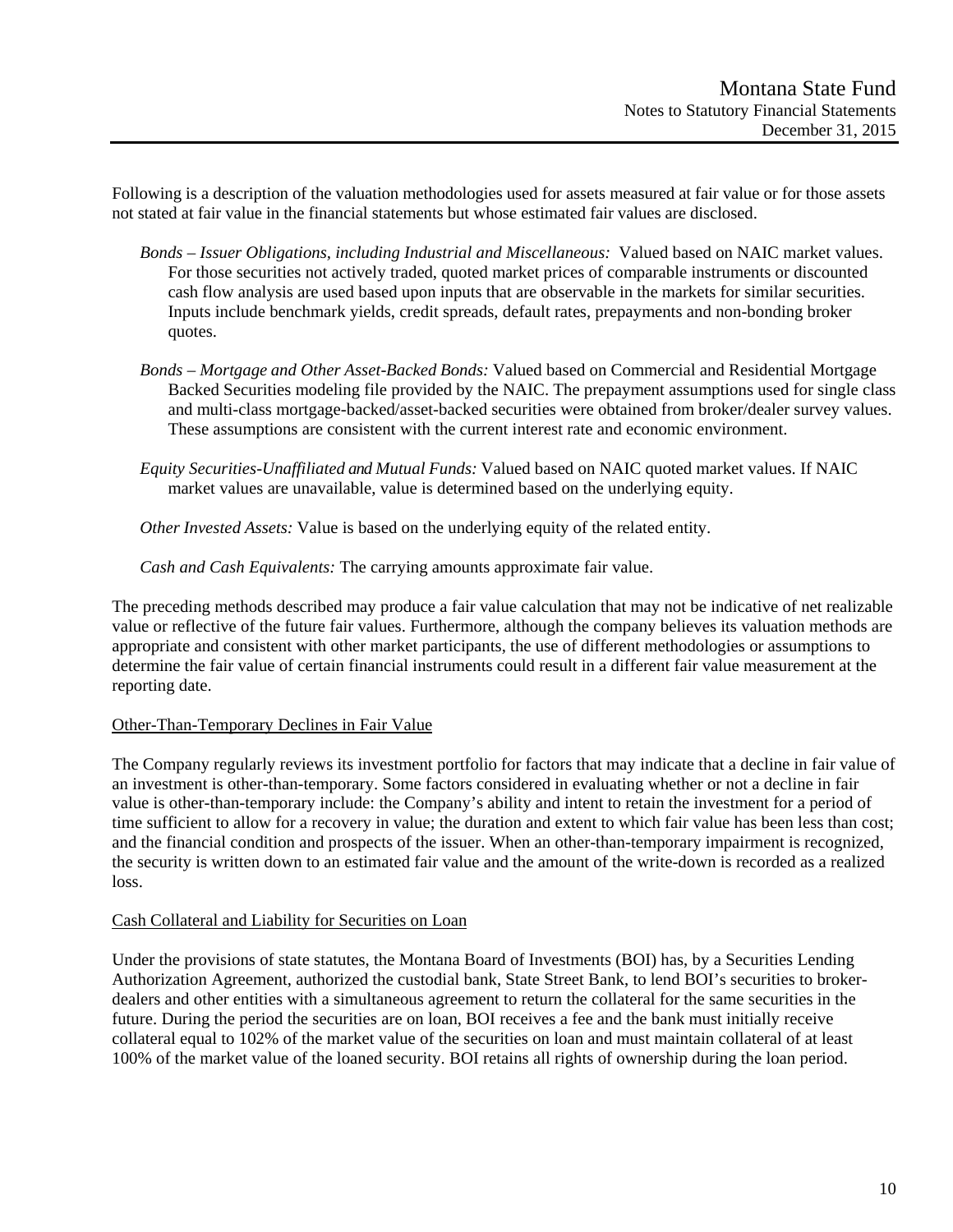Following is a description of the valuation methodologies used for assets measured at fair value or for those assets not stated at fair value in the financial statements but whose estimated fair values are disclosed.

- *Bonds Issuer Obligations, including Industrial and Miscellaneous:* Valued based on NAIC market values. For those securities not actively traded, quoted market prices of comparable instruments or discounted cash flow analysis are used based upon inputs that are observable in the markets for similar securities. Inputs include benchmark yields, credit spreads, default rates, prepayments and non-bonding broker quotes.
- *Bonds Mortgage and Other Asset-Backed Bonds:* Valued based on Commercial and Residential Mortgage Backed Securities modeling file provided by the NAIC. The prepayment assumptions used for single class and multi-class mortgage-backed/asset-backed securities were obtained from broker/dealer survey values. These assumptions are consistent with the current interest rate and economic environment.
- *Equity Securities-Unaffiliated and Mutual Funds:* Valued based on NAIC quoted market values. If NAIC market values are unavailable, value is determined based on the underlying equity.

*Other Invested Assets:* Value is based on the underlying equity of the related entity.

*Cash and Cash Equivalents:* The carrying amounts approximate fair value.

The preceding methods described may produce a fair value calculation that may not be indicative of net realizable value or reflective of the future fair values. Furthermore, although the company believes its valuation methods are appropriate and consistent with other market participants, the use of different methodologies or assumptions to determine the fair value of certain financial instruments could result in a different fair value measurement at the reporting date.

### Other-Than-Temporary Declines in Fair Value

The Company regularly reviews its investment portfolio for factors that may indicate that a decline in fair value of an investment is other-than-temporary. Some factors considered in evaluating whether or not a decline in fair value is other-than-temporary include: the Company's ability and intent to retain the investment for a period of time sufficient to allow for a recovery in value; the duration and extent to which fair value has been less than cost; and the financial condition and prospects of the issuer. When an other-than-temporary impairment is recognized, the security is written down to an estimated fair value and the amount of the write-down is recorded as a realized loss.

### Cash Collateral and Liability for Securities on Loan

Under the provisions of state statutes, the Montana Board of Investments (BOI) has, by a Securities Lending Authorization Agreement, authorized the custodial bank, State Street Bank, to lend BOI's securities to brokerdealers and other entities with a simultaneous agreement to return the collateral for the same securities in the future. During the period the securities are on loan, BOI receives a fee and the bank must initially receive collateral equal to 102% of the market value of the securities on loan and must maintain collateral of at least 100% of the market value of the loaned security. BOI retains all rights of ownership during the loan period.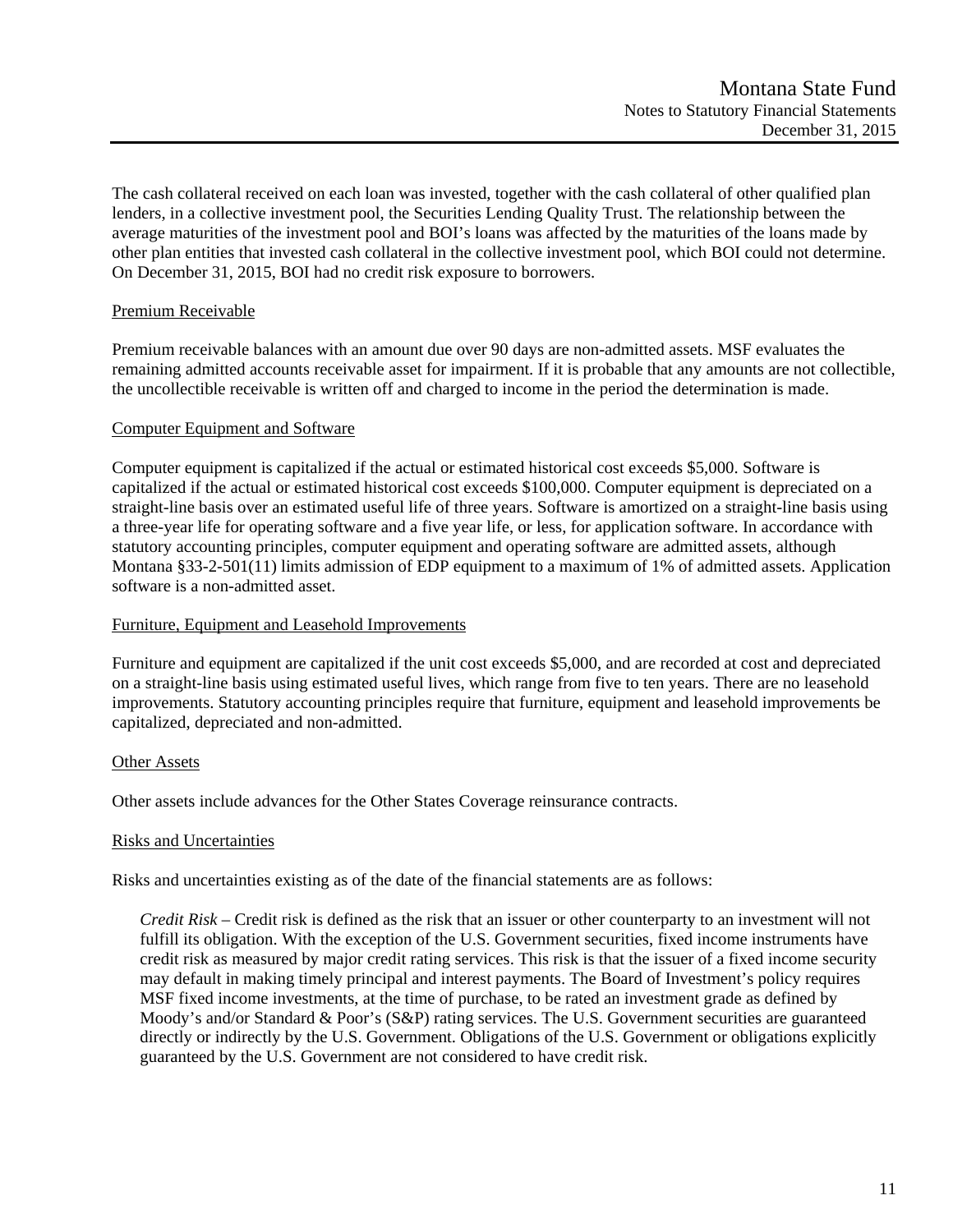The cash collateral received on each loan was invested, together with the cash collateral of other qualified plan lenders, in a collective investment pool, the Securities Lending Quality Trust. The relationship between the average maturities of the investment pool and BOI's loans was affected by the maturities of the loans made by other plan entities that invested cash collateral in the collective investment pool, which BOI could not determine. On December 31, 2015, BOI had no credit risk exposure to borrowers.

### Premium Receivable

Premium receivable balances with an amount due over 90 days are non-admitted assets. MSF evaluates the remaining admitted accounts receivable asset for impairment. If it is probable that any amounts are not collectible, the uncollectible receivable is written off and charged to income in the period the determination is made.

### Computer Equipment and Software

Computer equipment is capitalized if the actual or estimated historical cost exceeds \$5,000. Software is capitalized if the actual or estimated historical cost exceeds \$100,000. Computer equipment is depreciated on a straight-line basis over an estimated useful life of three years. Software is amortized on a straight-line basis using a three-year life for operating software and a five year life, or less, for application software. In accordance with statutory accounting principles, computer equipment and operating software are admitted assets, although Montana §33-2-501(11) limits admission of EDP equipment to a maximum of 1% of admitted assets. Application software is a non-admitted asset.

### Furniture, Equipment and Leasehold Improvements

Furniture and equipment are capitalized if the unit cost exceeds \$5,000, and are recorded at cost and depreciated on a straight-line basis using estimated useful lives, which range from five to ten years. There are no leasehold improvements. Statutory accounting principles require that furniture, equipment and leasehold improvements be capitalized, depreciated and non-admitted.

### Other Assets

Other assets include advances for the Other States Coverage reinsurance contracts.

### Risks and Uncertainties

Risks and uncertainties existing as of the date of the financial statements are as follows:

*Credit Risk* – Credit risk is defined as the risk that an issuer or other counterparty to an investment will not fulfill its obligation. With the exception of the U.S. Government securities, fixed income instruments have credit risk as measured by major credit rating services. This risk is that the issuer of a fixed income security may default in making timely principal and interest payments. The Board of Investment's policy requires MSF fixed income investments, at the time of purchase, to be rated an investment grade as defined by Moody's and/or Standard & Poor's (S&P) rating services. The U.S. Government securities are guaranteed directly or indirectly by the U.S. Government. Obligations of the U.S. Government or obligations explicitly guaranteed by the U.S. Government are not considered to have credit risk.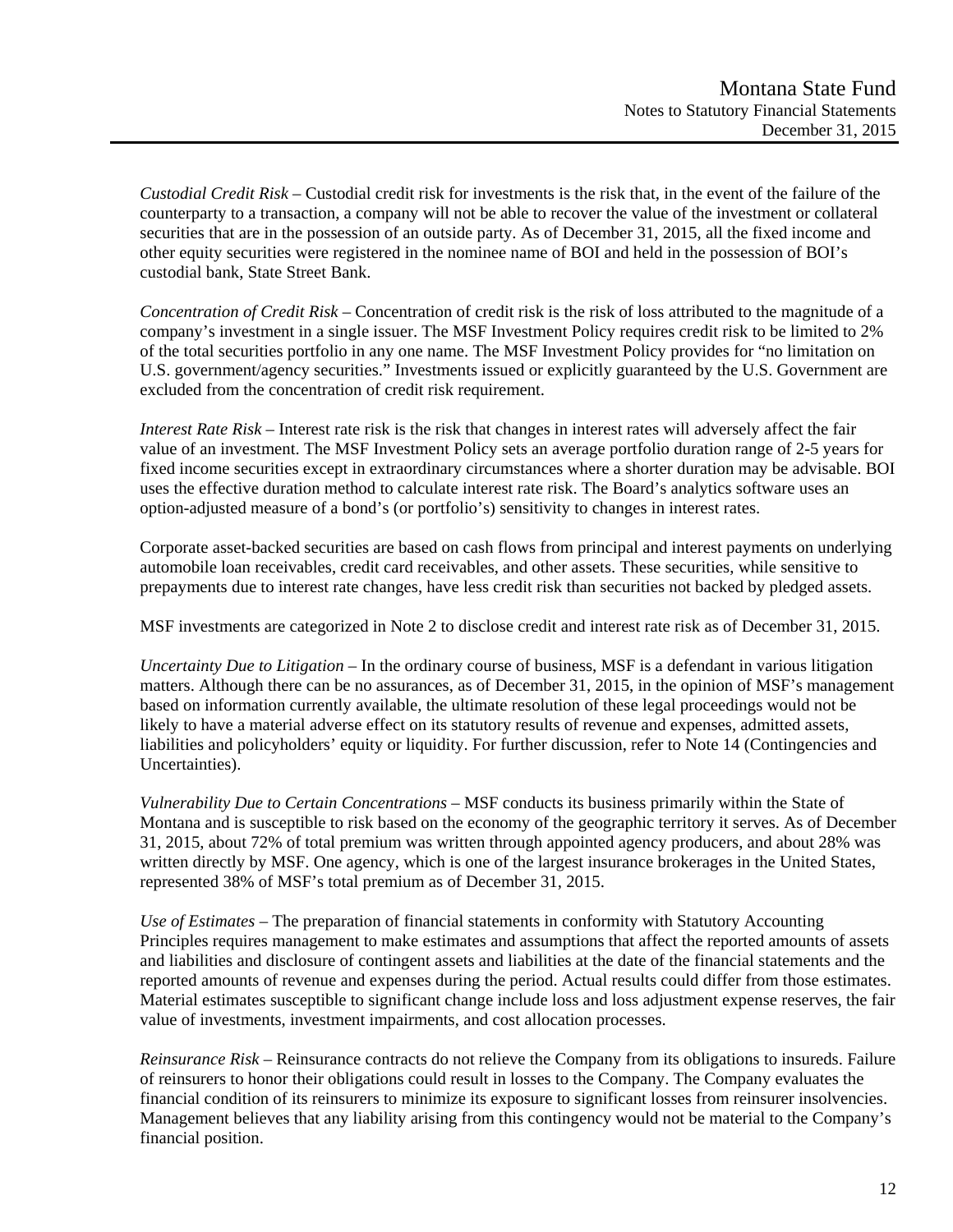*Custodial Credit Risk* – Custodial credit risk for investments is the risk that, in the event of the failure of the counterparty to a transaction, a company will not be able to recover the value of the investment or collateral securities that are in the possession of an outside party. As of December 31, 2015, all the fixed income and other equity securities were registered in the nominee name of BOI and held in the possession of BOI's custodial bank, State Street Bank.

*Concentration of Credit Risk* – Concentration of credit risk is the risk of loss attributed to the magnitude of a company's investment in a single issuer. The MSF Investment Policy requires credit risk to be limited to 2% of the total securities portfolio in any one name. The MSF Investment Policy provides for "no limitation on U.S. government/agency securities." Investments issued or explicitly guaranteed by the U.S. Government are excluded from the concentration of credit risk requirement.

*Interest Rate Risk* – Interest rate risk is the risk that changes in interest rates will adversely affect the fair value of an investment. The MSF Investment Policy sets an average portfolio duration range of 2-5 years for fixed income securities except in extraordinary circumstances where a shorter duration may be advisable. BOI uses the effective duration method to calculate interest rate risk. The Board's analytics software uses an option-adjusted measure of a bond's (or portfolio's) sensitivity to changes in interest rates.

Corporate asset-backed securities are based on cash flows from principal and interest payments on underlying automobile loan receivables, credit card receivables, and other assets. These securities, while sensitive to prepayments due to interest rate changes, have less credit risk than securities not backed by pledged assets.

MSF investments are categorized in Note 2 to disclose credit and interest rate risk as of December 31, 2015.

*Uncertainty Due to Litigation* – In the ordinary course of business, MSF is a defendant in various litigation matters. Although there can be no assurances, as of December 31, 2015, in the opinion of MSF's management based on information currently available, the ultimate resolution of these legal proceedings would not be likely to have a material adverse effect on its statutory results of revenue and expenses, admitted assets, liabilities and policyholders' equity or liquidity. For further discussion, refer to Note 14 (Contingencies and Uncertainties).

*Vulnerability Due to Certain Concentrations* – MSF conducts its business primarily within the State of Montana and is susceptible to risk based on the economy of the geographic territory it serves. As of December 31, 2015, about 72% of total premium was written through appointed agency producers, and about 28% was written directly by MSF. One agency, which is one of the largest insurance brokerages in the United States, represented 38% of MSF's total premium as of December 31, 2015.

*Use of Estimates –* The preparation of financial statements in conformity with Statutory Accounting Principles requires management to make estimates and assumptions that affect the reported amounts of assets and liabilities and disclosure of contingent assets and liabilities at the date of the financial statements and the reported amounts of revenue and expenses during the period. Actual results could differ from those estimates. Material estimates susceptible to significant change include loss and loss adjustment expense reserves, the fair value of investments, investment impairments, and cost allocation processes.

*Reinsurance Risk –* Reinsurance contracts do not relieve the Company from its obligations to insureds. Failure of reinsurers to honor their obligations could result in losses to the Company. The Company evaluates the financial condition of its reinsurers to minimize its exposure to significant losses from reinsurer insolvencies. Management believes that any liability arising from this contingency would not be material to the Company's financial position.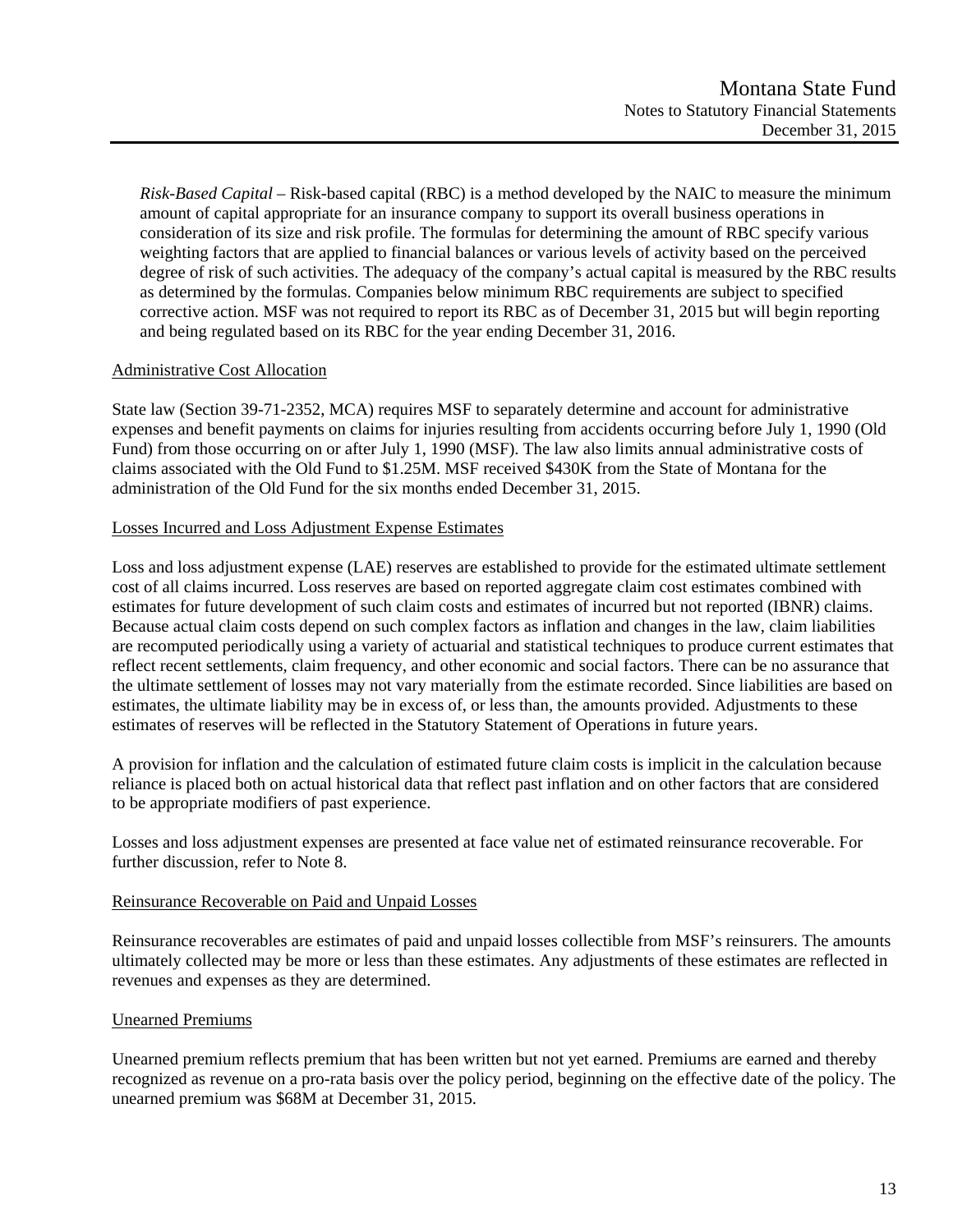*Risk-Based Capital* – Risk-based capital (RBC) is a method developed by the NAIC to measure the minimum amount of capital appropriate for an insurance company to support its overall business operations in consideration of its size and risk profile. The formulas for determining the amount of RBC specify various weighting factors that are applied to financial balances or various levels of activity based on the perceived degree of risk of such activities. The adequacy of the company's actual capital is measured by the RBC results as determined by the formulas. Companies below minimum RBC requirements are subject to specified corrective action. MSF was not required to report its RBC as of December 31, 2015 but will begin reporting and being regulated based on its RBC for the year ending December 31, 2016.

### Administrative Cost Allocation

State law (Section 39-71-2352, MCA) requires MSF to separately determine and account for administrative expenses and benefit payments on claims for injuries resulting from accidents occurring before July 1, 1990 (Old Fund) from those occurring on or after July 1, 1990 (MSF). The law also limits annual administrative costs of claims associated with the Old Fund to \$1.25M. MSF received \$430K from the State of Montana for the administration of the Old Fund for the six months ended December 31, 2015.

### Losses Incurred and Loss Adjustment Expense Estimates

Loss and loss adjustment expense (LAE) reserves are established to provide for the estimated ultimate settlement cost of all claims incurred. Loss reserves are based on reported aggregate claim cost estimates combined with estimates for future development of such claim costs and estimates of incurred but not reported (IBNR) claims. Because actual claim costs depend on such complex factors as inflation and changes in the law, claim liabilities are recomputed periodically using a variety of actuarial and statistical techniques to produce current estimates that reflect recent settlements, claim frequency, and other economic and social factors. There can be no assurance that the ultimate settlement of losses may not vary materially from the estimate recorded. Since liabilities are based on estimates, the ultimate liability may be in excess of, or less than, the amounts provided. Adjustments to these estimates of reserves will be reflected in the Statutory Statement of Operations in future years.

A provision for inflation and the calculation of estimated future claim costs is implicit in the calculation because reliance is placed both on actual historical data that reflect past inflation and on other factors that are considered to be appropriate modifiers of past experience.

Losses and loss adjustment expenses are presented at face value net of estimated reinsurance recoverable. For further discussion, refer to Note 8.

### Reinsurance Recoverable on Paid and Unpaid Losses

Reinsurance recoverables are estimates of paid and unpaid losses collectible from MSF's reinsurers. The amounts ultimately collected may be more or less than these estimates. Any adjustments of these estimates are reflected in revenues and expenses as they are determined.

### Unearned Premiums

Unearned premium reflects premium that has been written but not yet earned. Premiums are earned and thereby recognized as revenue on a pro-rata basis over the policy period, beginning on the effective date of the policy. The unearned premium was \$68M at December 31, 2015.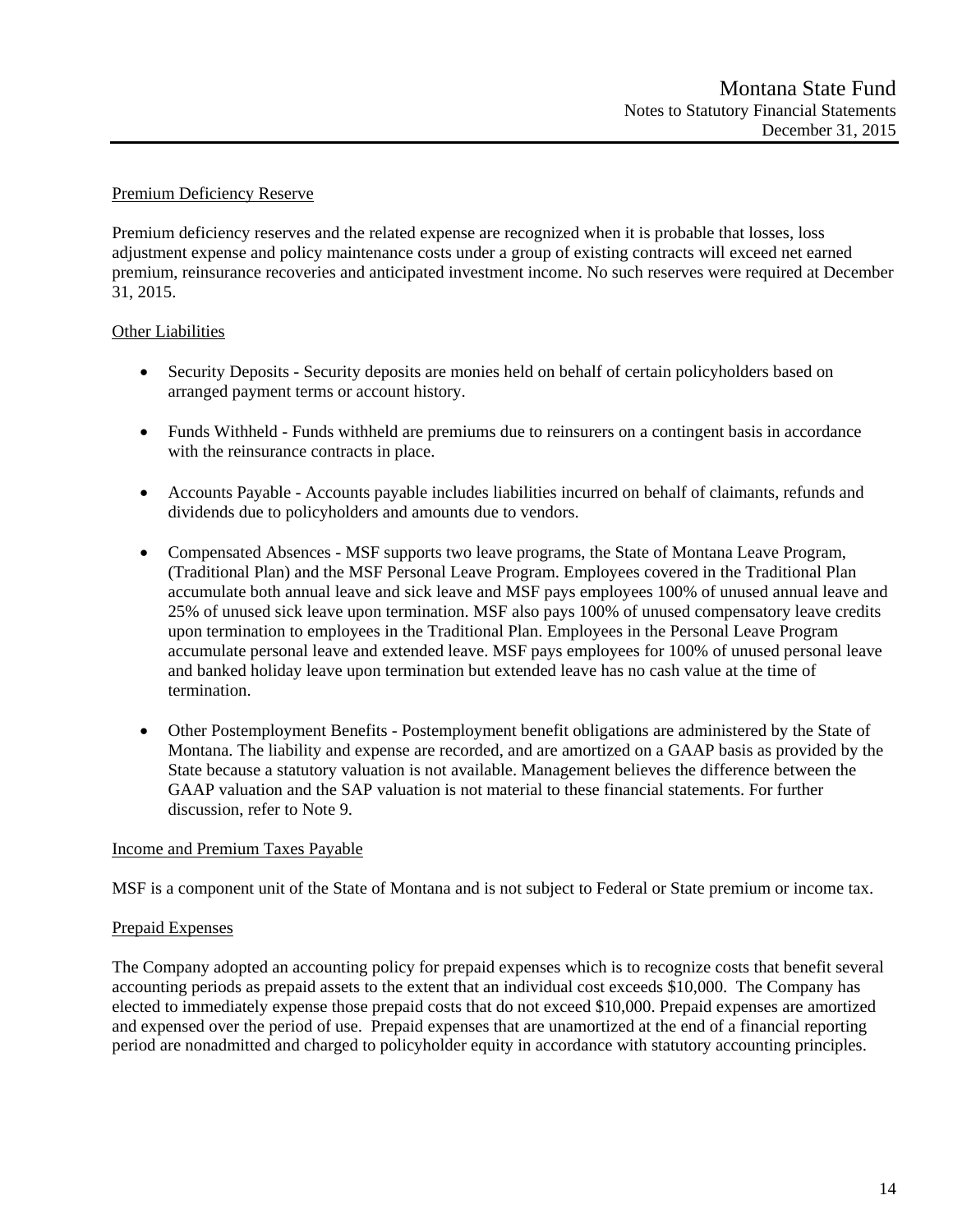### Premium Deficiency Reserve

Premium deficiency reserves and the related expense are recognized when it is probable that losses, loss adjustment expense and policy maintenance costs under a group of existing contracts will exceed net earned premium, reinsurance recoveries and anticipated investment income. No such reserves were required at December 31, 2015.

### Other Liabilities

- Security Deposits Security deposits are monies held on behalf of certain policyholders based on arranged payment terms or account history.
- Funds Withheld Funds withheld are premiums due to reinsurers on a contingent basis in accordance with the reinsurance contracts in place.
- Accounts Payable Accounts payable includes liabilities incurred on behalf of claimants, refunds and dividends due to policyholders and amounts due to vendors.
- Compensated Absences MSF supports two leave programs, the State of Montana Leave Program, (Traditional Plan) and the MSF Personal Leave Program. Employees covered in the Traditional Plan accumulate both annual leave and sick leave and MSF pays employees 100% of unused annual leave and 25% of unused sick leave upon termination. MSF also pays 100% of unused compensatory leave credits upon termination to employees in the Traditional Plan. Employees in the Personal Leave Program accumulate personal leave and extended leave. MSF pays employees for 100% of unused personal leave and banked holiday leave upon termination but extended leave has no cash value at the time of termination.
- Other Postemployment Benefits Postemployment benefit obligations are administered by the State of Montana. The liability and expense are recorded, and are amortized on a GAAP basis as provided by the State because a statutory valuation is not available. Management believes the difference between the GAAP valuation and the SAP valuation is not material to these financial statements. For further discussion, refer to Note 9.

### Income and Premium Taxes Payable

MSF is a component unit of the State of Montana and is not subject to Federal or State premium or income tax.

## Prepaid Expenses

The Company adopted an accounting policy for prepaid expenses which is to recognize costs that benefit several accounting periods as prepaid assets to the extent that an individual cost exceeds \$10,000. The Company has elected to immediately expense those prepaid costs that do not exceed \$10,000. Prepaid expenses are amortized and expensed over the period of use. Prepaid expenses that are unamortized at the end of a financial reporting period are nonadmitted and charged to policyholder equity in accordance with statutory accounting principles.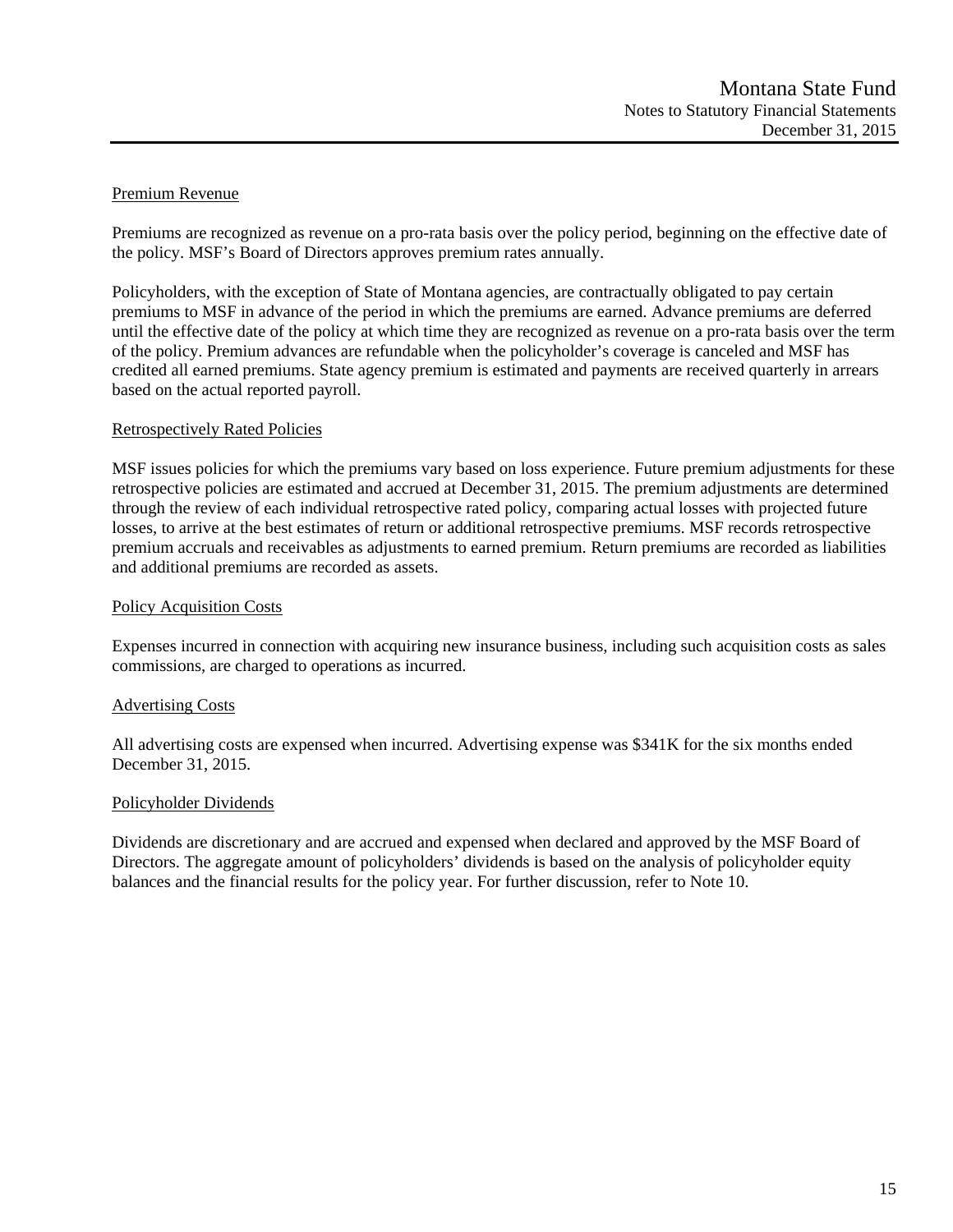### Premium Revenue

Premiums are recognized as revenue on a pro-rata basis over the policy period, beginning on the effective date of the policy. MSF's Board of Directors approves premium rates annually.

Policyholders, with the exception of State of Montana agencies, are contractually obligated to pay certain premiums to MSF in advance of the period in which the premiums are earned. Advance premiums are deferred until the effective date of the policy at which time they are recognized as revenue on a pro-rata basis over the term of the policy. Premium advances are refundable when the policyholder's coverage is canceled and MSF has credited all earned premiums. State agency premium is estimated and payments are received quarterly in arrears based on the actual reported payroll.

### Retrospectively Rated Policies

MSF issues policies for which the premiums vary based on loss experience. Future premium adjustments for these retrospective policies are estimated and accrued at December 31, 2015. The premium adjustments are determined through the review of each individual retrospective rated policy, comparing actual losses with projected future losses, to arrive at the best estimates of return or additional retrospective premiums. MSF records retrospective premium accruals and receivables as adjustments to earned premium. Return premiums are recorded as liabilities and additional premiums are recorded as assets.

### Policy Acquisition Costs

Expenses incurred in connection with acquiring new insurance business, including such acquisition costs as sales commissions, are charged to operations as incurred.

### Advertising Costs

All advertising costs are expensed when incurred. Advertising expense was \$341K for the six months ended December 31, 2015.

### Policyholder Dividends

Dividends are discretionary and are accrued and expensed when declared and approved by the MSF Board of Directors. The aggregate amount of policyholders' dividends is based on the analysis of policyholder equity balances and the financial results for the policy year. For further discussion, refer to Note 10.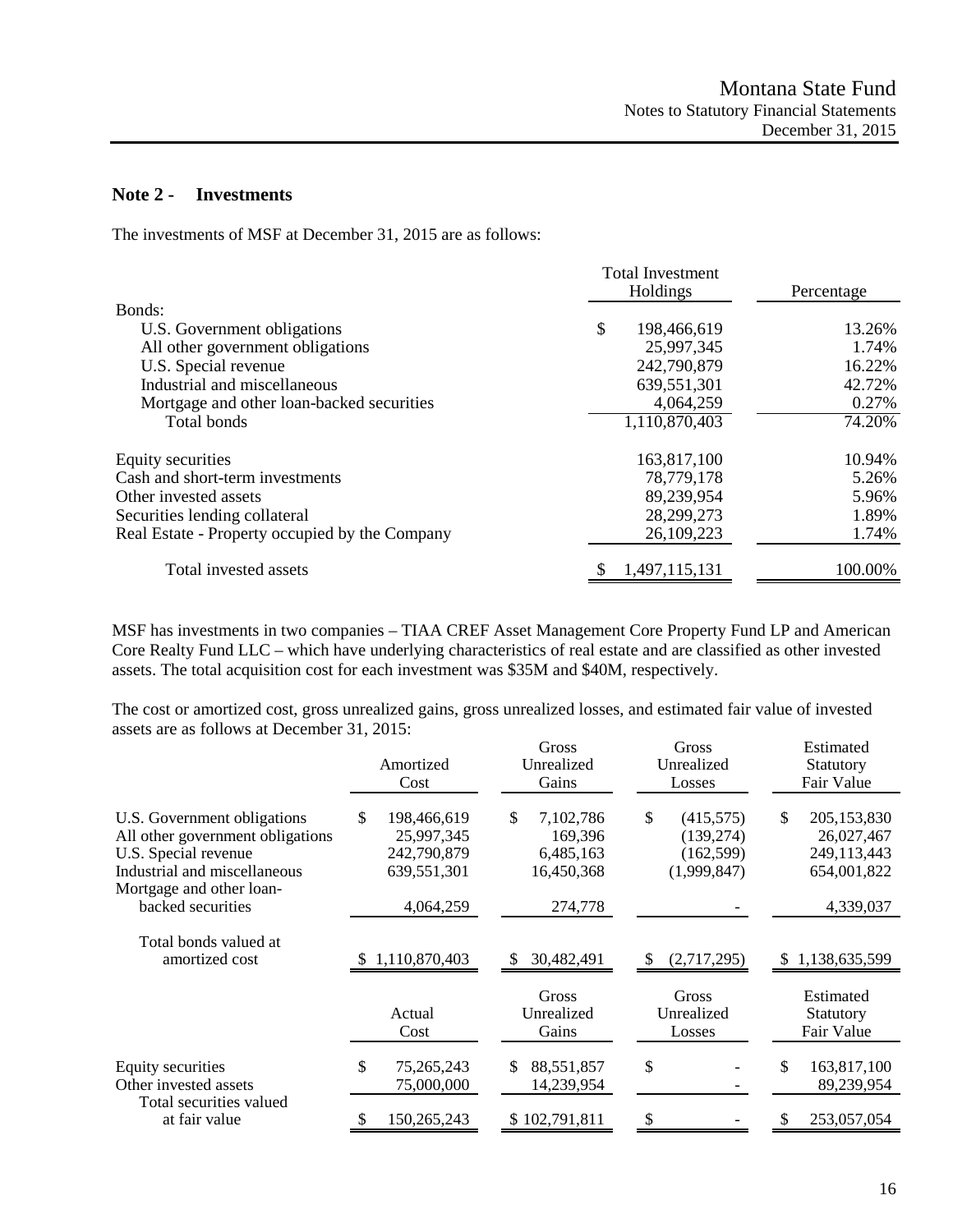#### **Note 2 - Investments**

The investments of MSF at December 31, 2015 are as follows:

|                                                | <b>Total Investment</b><br>Holdings | Percentage |  |
|------------------------------------------------|-------------------------------------|------------|--|
| Bonds:                                         |                                     |            |  |
| U.S. Government obligations                    | \$<br>198,466,619                   | 13.26%     |  |
| All other government obligations               | 25,997,345                          | 1.74%      |  |
| U.S. Special revenue                           | 242,790,879                         | 16.22%     |  |
| Industrial and miscellaneous                   | 639,551,301                         | 42.72%     |  |
| Mortgage and other loan-backed securities      | 4,064,259                           | 0.27%      |  |
| Total bonds                                    | 1,110,870,403                       | 74.20%     |  |
| Equity securities                              | 163,817,100                         | 10.94%     |  |
| Cash and short-term investments                | 78,779,178                          | 5.26%      |  |
| Other invested assets                          | 89,239,954                          | 5.96%      |  |
| Securities lending collateral                  | 28,299,273                          | 1.89%      |  |
| Real Estate - Property occupied by the Company | 26,109,223                          | 1.74%      |  |
| Total invested assets                          | 1,497,115,131                       | 100.00%    |  |

MSF has investments in two companies – TIAA CREF Asset Management Core Property Fund LP and American Core Realty Fund LLC – which have underlying characteristics of real estate and are classified as other invested assets. The total acquisition cost for each investment was \$35M and \$40M, respectively.

The cost or amortized cost, gross unrealized gains, gross unrealized losses, and estimated fair value of invested assets are as follows at December 31, 2015: Gross Gross Estimated

|                                                                                                                                                                          | Amortized<br>Cost                                                          | <b>UIUSS</b><br>Unrealized<br>Gains                              | <b>UIUSS</b><br>Unrealized<br>Losses                        | esumated<br>Statutory<br>Fair Value                                        |
|--------------------------------------------------------------------------------------------------------------------------------------------------------------------------|----------------------------------------------------------------------------|------------------------------------------------------------------|-------------------------------------------------------------|----------------------------------------------------------------------------|
| U.S. Government obligations<br>All other government obligations<br>U.S. Special revenue<br>Industrial and miscellaneous<br>Mortgage and other loan-<br>backed securities | \$<br>198,466,619<br>25,997,345<br>242,790,879<br>639,551,301<br>4,064,259 | \$<br>7,102,786<br>169,396<br>6,485,163<br>16,450,368<br>274,778 | \$<br>(415, 575)<br>(139, 274)<br>(162, 599)<br>(1,999,847) | \$<br>205,153,830<br>26,027,467<br>249,113,443<br>654,001,822<br>4,339,037 |
| Total bonds valued at<br>amortized cost                                                                                                                                  | 1,110,870,403                                                              | 30,482,491<br>\$                                                 | (2,717,295)<br>\$.                                          | 1,138,635,599<br>S                                                         |
|                                                                                                                                                                          | Actual<br>Cost                                                             | Gross<br>Unrealized<br>Gains                                     | Gross<br>Unrealized<br>Losses                               | Estimated<br><b>Statutory</b><br>Fair Value                                |
| Equity securities<br>Other invested assets                                                                                                                               | \$<br>75,265,243<br>75,000,000                                             | 88,551,857<br>S<br>14,239,954                                    | \$                                                          | 163,817,100<br>\$<br>89,239,954                                            |
| Total securities valued<br>at fair value                                                                                                                                 | 150,265,243                                                                | \$102,791,811                                                    |                                                             | 253,057,054                                                                |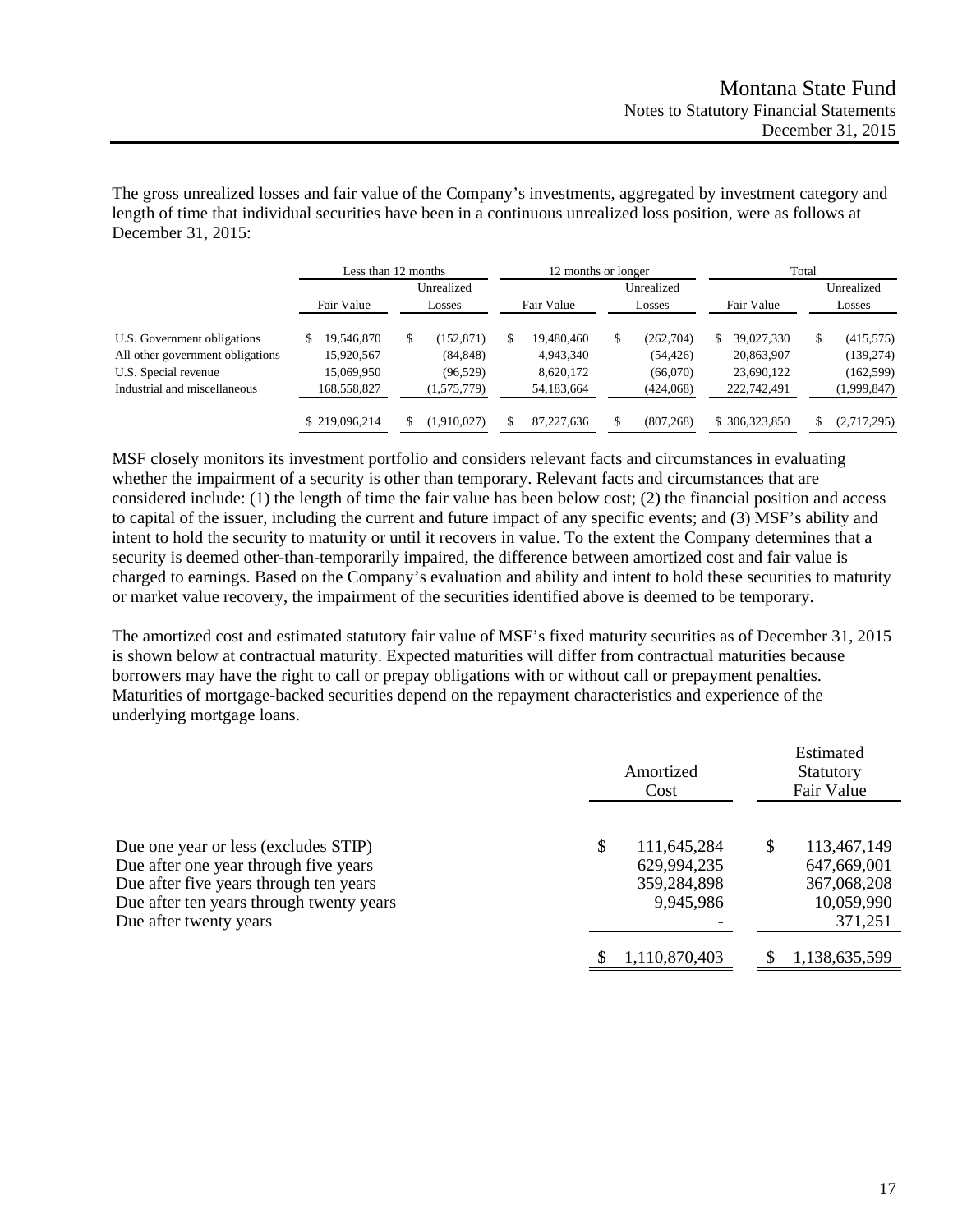The gross unrealized losses and fair value of the Company's investments, aggregated by investment category and length of time that individual securities have been in a continuous unrealized loss position, were as follows at December 31, 2015:

|                                  |                  | Less than 12 months | 12 months or longer                |                  |            | Total         |  |             |
|----------------------------------|------------------|---------------------|------------------------------------|------------------|------------|---------------|--|-------------|
|                                  |                  | Unrealized          |                                    |                  | Unrealized |               |  | Unrealized  |
|                                  | Fair Value       | Losses              | Fair Value<br>Fair Value<br>Losses |                  |            |               |  | Losses      |
| U.S. Government obligations      | 19.546.870<br>S. | \$<br>(152, 871)    | \$                                 | 19.480.460<br>S. | (262, 704) | 39,027,330    |  | (415,575)   |
| All other government obligations | 15,920,567       | (84, 848)           |                                    | 4,943,340        | (54, 426)  | 20,863,907    |  | (139, 274)  |
| U.S. Special revenue             | 15.069.950       | (96, 529)           |                                    | 8.620.172        | (66,070)   | 23,690,122    |  | (162, 599)  |
| Industrial and miscellaneous     | 168,558,827      | (1,575,779)         |                                    | 54,183,664       | (424,068)  | 222.742.491   |  | (1,999,847) |
|                                  | \$219,096,214    | (1.910.027)         |                                    | 87,227,636       | (807, 268) | 306, 323, 850 |  | (2,717,295) |

MSF closely monitors its investment portfolio and considers relevant facts and circumstances in evaluating whether the impairment of a security is other than temporary. Relevant facts and circumstances that are considered include: (1) the length of time the fair value has been below cost; (2) the financial position and access to capital of the issuer, including the current and future impact of any specific events; and (3) MSF's ability and intent to hold the security to maturity or until it recovers in value. To the extent the Company determines that a security is deemed other-than-temporarily impaired, the difference between amortized cost and fair value is charged to earnings. Based on the Company's evaluation and ability and intent to hold these securities to maturity or market value recovery, the impairment of the securities identified above is deemed to be temporary.

The amortized cost and estimated statutory fair value of MSF's fixed maturity securities as of December 31, 2015 is shown below at contractual maturity. Expected maturities will differ from contractual maturities because borrowers may have the right to call or prepay obligations with or without call or prepayment penalties. Maturities of mortgage-backed securities depend on the repayment characteristics and experience of the underlying mortgage loans.

|                                                                                                                                                                                               | Amortized<br>Cost                                            | Estimated<br>Statutory<br>Fair Value                                     |
|-----------------------------------------------------------------------------------------------------------------------------------------------------------------------------------------------|--------------------------------------------------------------|--------------------------------------------------------------------------|
| Due one year or less (excludes STIP)<br>Due after one year through five years<br>Due after five years through ten years<br>Due after ten years through twenty years<br>Due after twenty years | \$<br>111,645,284<br>629,994,235<br>359,284,898<br>9,945,986 | 113,467,149<br>\$<br>647,669,001<br>367,068,208<br>10,059,990<br>371,251 |
|                                                                                                                                                                                               | 1,110,870,403                                                | 1,138,635,599                                                            |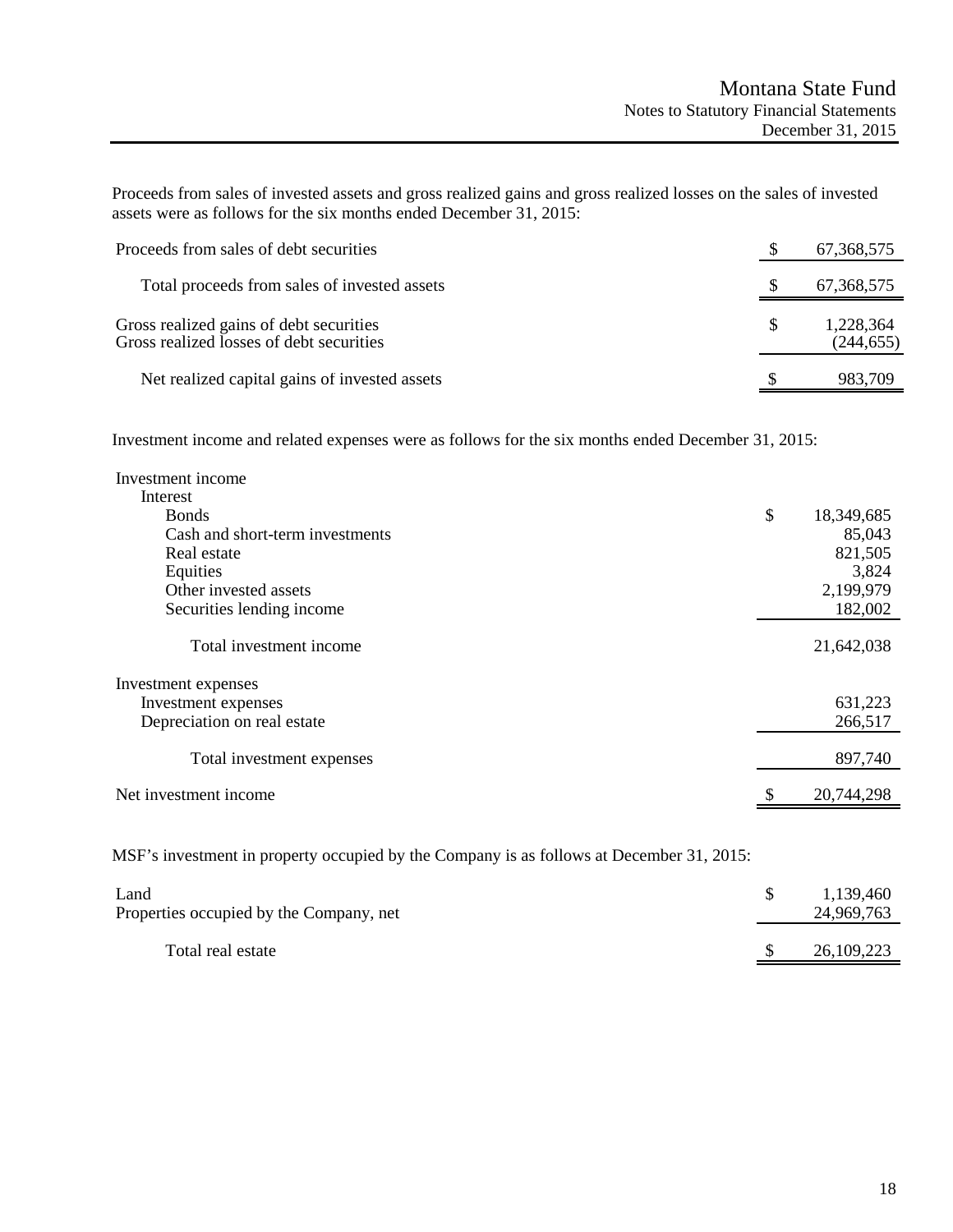Proceeds from sales of invested assets and gross realized gains and gross realized losses on the sales of invested assets were as follows for the six months ended December 31, 2015:

| Proceeds from sales of debt securities                                              | <b>S</b> | 67, 368, 575            |
|-------------------------------------------------------------------------------------|----------|-------------------------|
| Total proceeds from sales of invested assets                                        |          | 67,368,575              |
| Gross realized gains of debt securities<br>Gross realized losses of debt securities | <b>S</b> | 1,228,364<br>(244, 655) |
| Net realized capital gains of invested assets                                       |          | 983.709                 |

Investment income and related expenses were as follows for the six months ended December 31, 2015:

| Investment income               |                  |
|---------------------------------|------------------|
| Interest                        |                  |
| <b>Bonds</b>                    | \$<br>18,349,685 |
| Cash and short-term investments | 85,043           |
| Real estate                     | 821,505          |
| Equities                        | 3,824            |
| Other invested assets           | 2,199,979        |
| Securities lending income       | 182,002          |
| Total investment income         | 21,642,038       |
| Investment expenses             |                  |
| Investment expenses             | 631,223          |
| Depreciation on real estate     | 266,517          |
| Total investment expenses       | 897,740          |
| Net investment income           | 20,744,298       |
|                                 |                  |

MSF's investment in property occupied by the Company is as follows at December 31, 2015:

| Land<br>Properties occupied by the Company, net | 1,139,460<br>24,969,763 |
|-------------------------------------------------|-------------------------|
| Total real estate                               | 26, 109, 223            |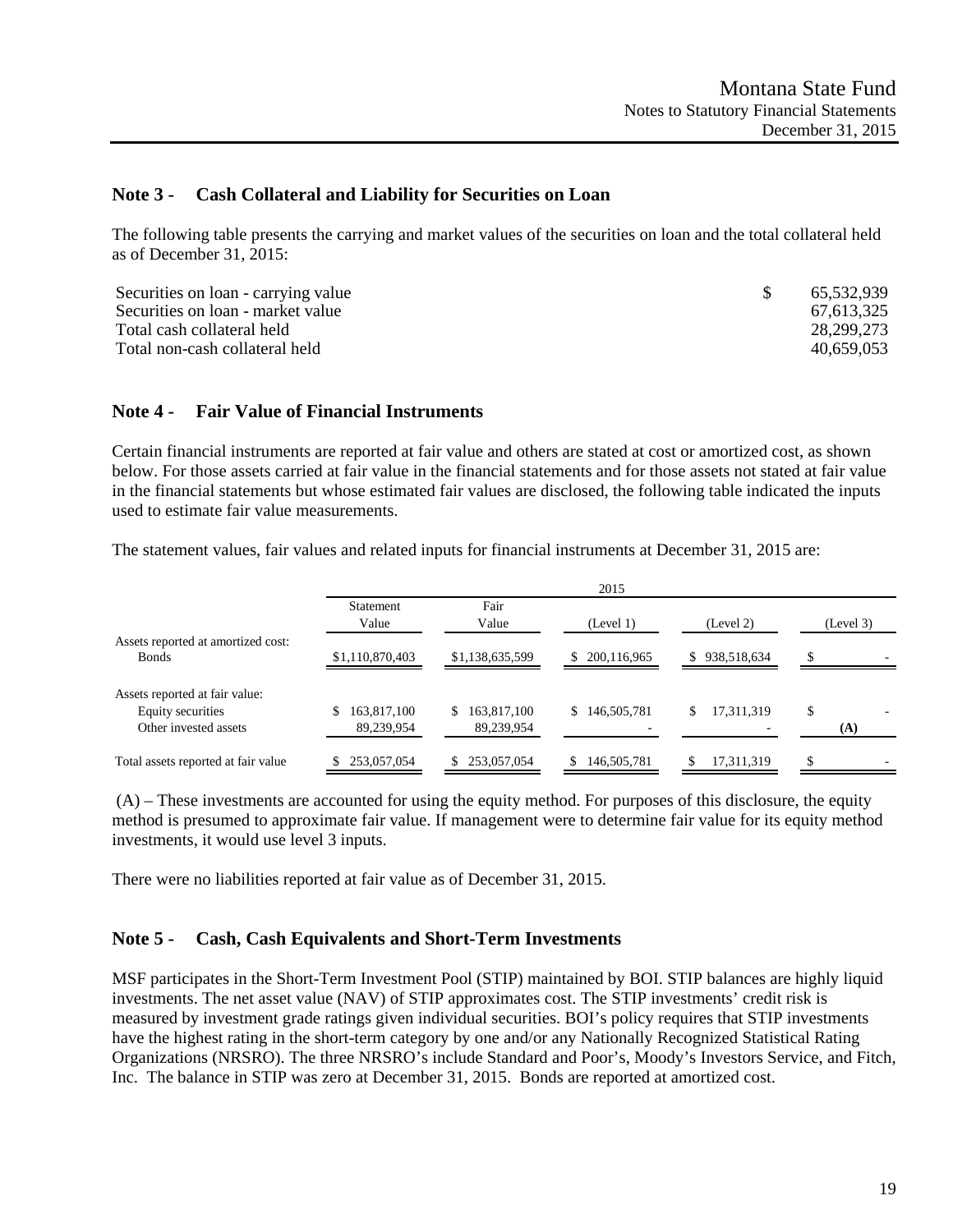### **Note 3 - Cash Collateral and Liability for Securities on Loan**

The following table presents the carrying and market values of the securities on loan and the total collateral held as of December 31, 2015:

| Securities on loan - carrying value | 65,532,939 |
|-------------------------------------|------------|
| Securities on loan - market value   | 67,613,325 |
| Total cash collateral held          | 28,299,273 |
| Total non-cash collateral held      | 40,659,053 |

### **Note 4 - Fair Value of Financial Instruments**

Certain financial instruments are reported at fair value and others are stated at cost or amortized cost, as shown below. For those assets carried at fair value in the financial statements and for those assets not stated at fair value in the financial statements but whose estimated fair values are disclosed, the following table indicated the inputs used to estimate fair value measurements.

The statement values, fair values and related inputs for financial instruments at December 31, 2015 are:

|                                     |                           |                   | 2015           |                    |           |
|-------------------------------------|---------------------------|-------------------|----------------|--------------------|-----------|
|                                     | <b>Statement</b><br>Value | Fair<br>Value     | (Level 1)      | (Level 2)          | (Level 3) |
| Assets reported at amortized cost:  |                           |                   |                |                    |           |
| <b>Bonds</b>                        | \$1,110,870,403           | \$1,138,635,599   | \$ 200,116,965 | 938,518,634<br>\$. |           |
| Assets reported at fair value:      |                           |                   |                |                    |           |
| Equity securities                   | 163,817,100<br>\$         | 163,817,100<br>S. | \$146,505,781  | 17,311,319         | \$        |
| Other invested assets               | 89,239,954                | 89,239,954        |                |                    | (A)       |
| Total assets reported at fair value | 253,057,054               | 253,057,054       | 146,505,781    | 17,311,319         | \$.       |

 (A) – These investments are accounted for using the equity method. For purposes of this disclosure, the equity method is presumed to approximate fair value. If management were to determine fair value for its equity method investments, it would use level 3 inputs.

There were no liabilities reported at fair value as of December 31, 2015.

### **Note 5 - Cash, Cash Equivalents and Short-Term Investments**

MSF participates in the Short-Term Investment Pool (STIP) maintained by BOI. STIP balances are highly liquid investments. The net asset value (NAV) of STIP approximates cost. The STIP investments' credit risk is measured by investment grade ratings given individual securities. BOI's policy requires that STIP investments have the highest rating in the short-term category by one and/or any Nationally Recognized Statistical Rating Organizations (NRSRO). The three NRSRO's include Standard and Poor's, Moody's Investors Service, and Fitch, Inc. The balance in STIP was zero at December 31, 2015. Bonds are reported at amortized cost.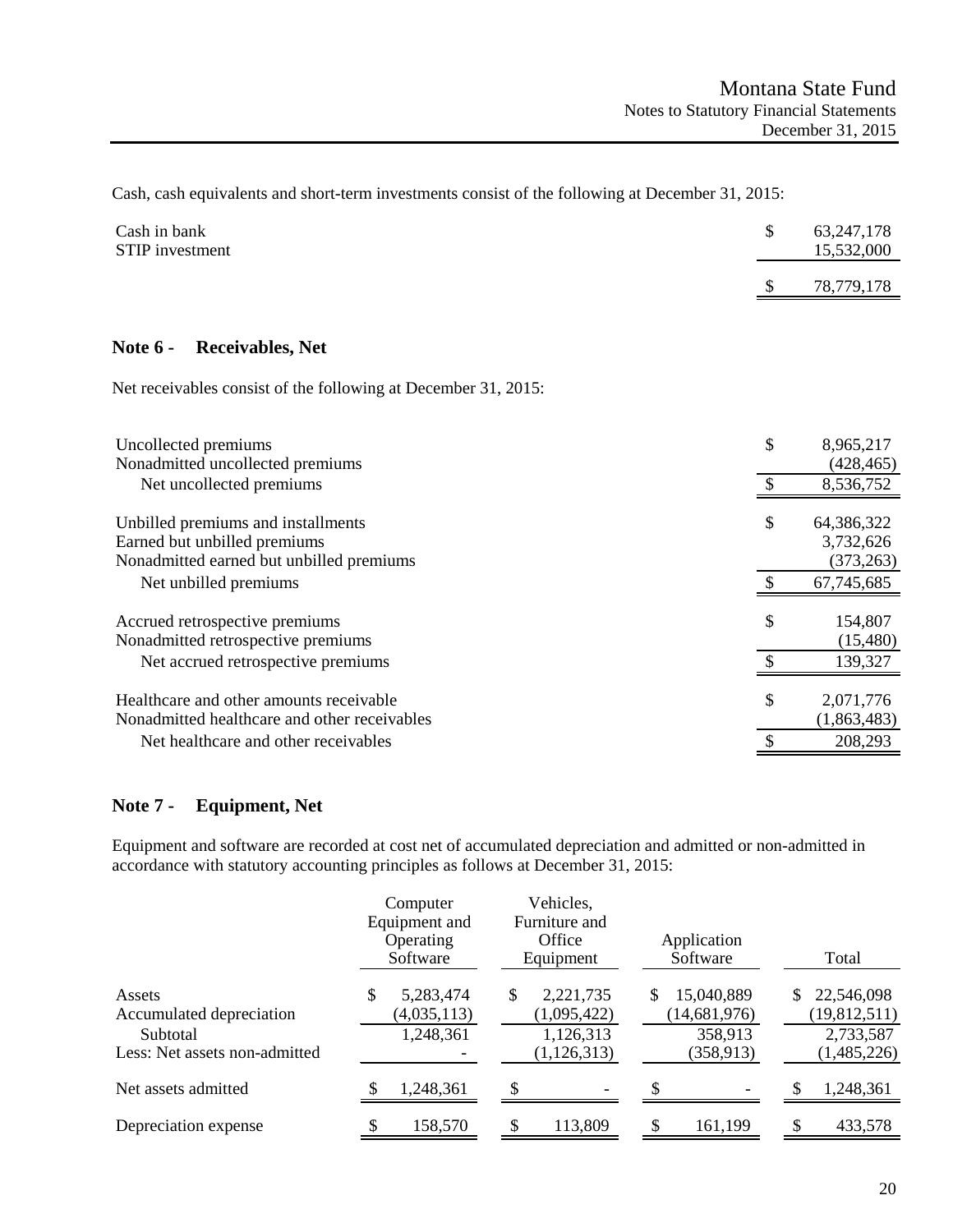Cash, cash equivalents and short-term investments consist of the following at December 31, 2015:

| Cash in bank<br><b>STIP</b> investment                                                                         | \$            | 63, 247, 178<br>15,532,000            |
|----------------------------------------------------------------------------------------------------------------|---------------|---------------------------------------|
|                                                                                                                |               | 78,779,178                            |
| <b>Receivables, Net</b><br>Note 6 -                                                                            |               |                                       |
| Net receivables consist of the following at December 31, 2015:                                                 |               |                                       |
| Uncollected premiums<br>Nonadmitted uncollected premiums                                                       | \$            | 8,965,217<br>(428, 465)               |
| Net uncollected premiums                                                                                       |               | 8,536,752                             |
| Unbilled premiums and installments<br>Earned but unbilled premiums<br>Nonadmitted earned but unbilled premiums | \$            | 64,386,322<br>3,732,626<br>(373, 263) |
| Net unbilled premiums                                                                                          | \$            | 67,745,685                            |
| Accrued retrospective premiums<br>Nonadmitted retrospective premiums                                           | \$            | 154,807<br>(15,480)                   |
| Net accrued retrospective premiums                                                                             | $\mathcal{S}$ | 139,327                               |
| Healthcare and other amounts receivable<br>Nonadmitted healthcare and other receivables                        | \$            | 2,071,776<br>(1,863,483)              |
| Net healthcare and other receivables                                                                           | \$            | 208,293                               |

## **Note 7 - Equipment, Net**

Equipment and software are recorded at cost net of accumulated depreciation and admitted or non-admitted in accordance with statutory accounting principles as follows at December 31, 2015:

|                                           | Computer<br>Equipment and<br>Operating<br>Software | Vehicles,<br>Furniture and<br>Office<br>Equipment | Application<br>Software    | Total                               |
|-------------------------------------------|----------------------------------------------------|---------------------------------------------------|----------------------------|-------------------------------------|
| Assets<br>Accumulated depreciation        | \$<br>5,283,474<br>(4,035,113)                     | 2,221,735<br>\$<br>(1,095,422)                    | 15,040,889<br>(14,681,976) | 22,546,098<br>\$.<br>(19, 812, 511) |
| Subtotal<br>Less: Net assets non-admitted | 1,248,361                                          | 1,126,313<br>(1, 126, 313)                        | 358,913<br>(358, 913)      | 2,733,587<br>(1,485,226)            |
| Net assets admitted                       | 1,248,361                                          |                                                   |                            | 1,248,361                           |
| Depreciation expense                      | 158,570                                            | 113,809                                           | 161,199                    | 433,578                             |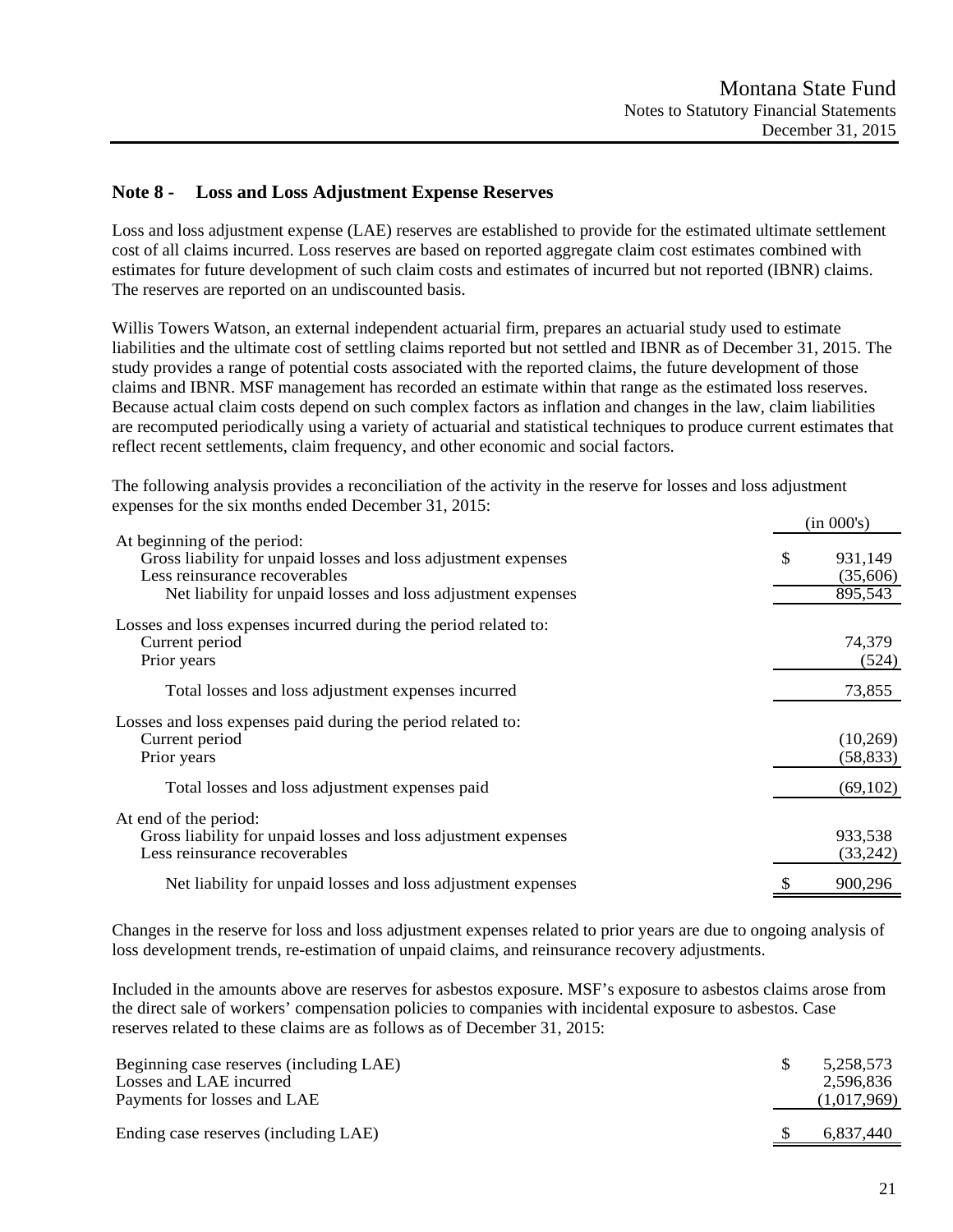## **Note 8 - Loss and Loss Adjustment Expense Reserves**

Loss and loss adjustment expense (LAE) reserves are established to provide for the estimated ultimate settlement cost of all claims incurred. Loss reserves are based on reported aggregate claim cost estimates combined with estimates for future development of such claim costs and estimates of incurred but not reported (IBNR) claims. The reserves are reported on an undiscounted basis.

Willis Towers Watson, an external independent actuarial firm, prepares an actuarial study used to estimate liabilities and the ultimate cost of settling claims reported but not settled and IBNR as of December 31, 2015. The study provides a range of potential costs associated with the reported claims, the future development of those claims and IBNR. MSF management has recorded an estimate within that range as the estimated loss reserves. Because actual claim costs depend on such complex factors as inflation and changes in the law, claim liabilities are recomputed periodically using a variety of actuarial and statistical techniques to produce current estimates that reflect recent settlements, claim frequency, and other economic and social factors.

The following analysis provides a reconciliation of the activity in the reserve for losses and loss adjustment expenses for the six months ended December 31, 2015:

|                                                                                                                                                                                                | (in 000's)                           |
|------------------------------------------------------------------------------------------------------------------------------------------------------------------------------------------------|--------------------------------------|
| At beginning of the period:<br>Gross liability for unpaid losses and loss adjustment expenses<br>Less reinsurance recoverables<br>Net liability for unpaid losses and loss adjustment expenses | \$<br>931,149<br>(35,606)<br>895,543 |
| Losses and loss expenses incurred during the period related to:<br>Current period<br>Prior years                                                                                               | 74,379<br>(524)                      |
| Total losses and loss adjustment expenses incurred                                                                                                                                             | 73,855                               |
| Losses and loss expenses paid during the period related to:<br>Current period<br>Prior years                                                                                                   | (10,269)<br>(58, 833)                |
| Total losses and loss adjustment expenses paid                                                                                                                                                 | (69,102)                             |
| At end of the period:<br>Gross liability for unpaid losses and loss adjustment expenses<br>Less reinsurance recoverables                                                                       | 933,538<br>(33, 242)                 |
| Net liability for unpaid losses and loss adjustment expenses                                                                                                                                   | 900,296                              |

Changes in the reserve for loss and loss adjustment expenses related to prior years are due to ongoing analysis of loss development trends, re-estimation of unpaid claims, and reinsurance recovery adjustments.

Included in the amounts above are reserves for asbestos exposure. MSF's exposure to asbestos claims arose from the direct sale of workers' compensation policies to companies with incidental exposure to asbestos. Case reserves related to these claims are as follows as of December 31, 2015:

| Beginning case reserves (including LAE) |  | 5.258.573   |
|-----------------------------------------|--|-------------|
| Losses and LAE incurred                 |  | 2.596.836   |
| Payments for losses and LAE             |  | (1,017,969) |
| Ending case reserves (including LAE)    |  | 6.837.440   |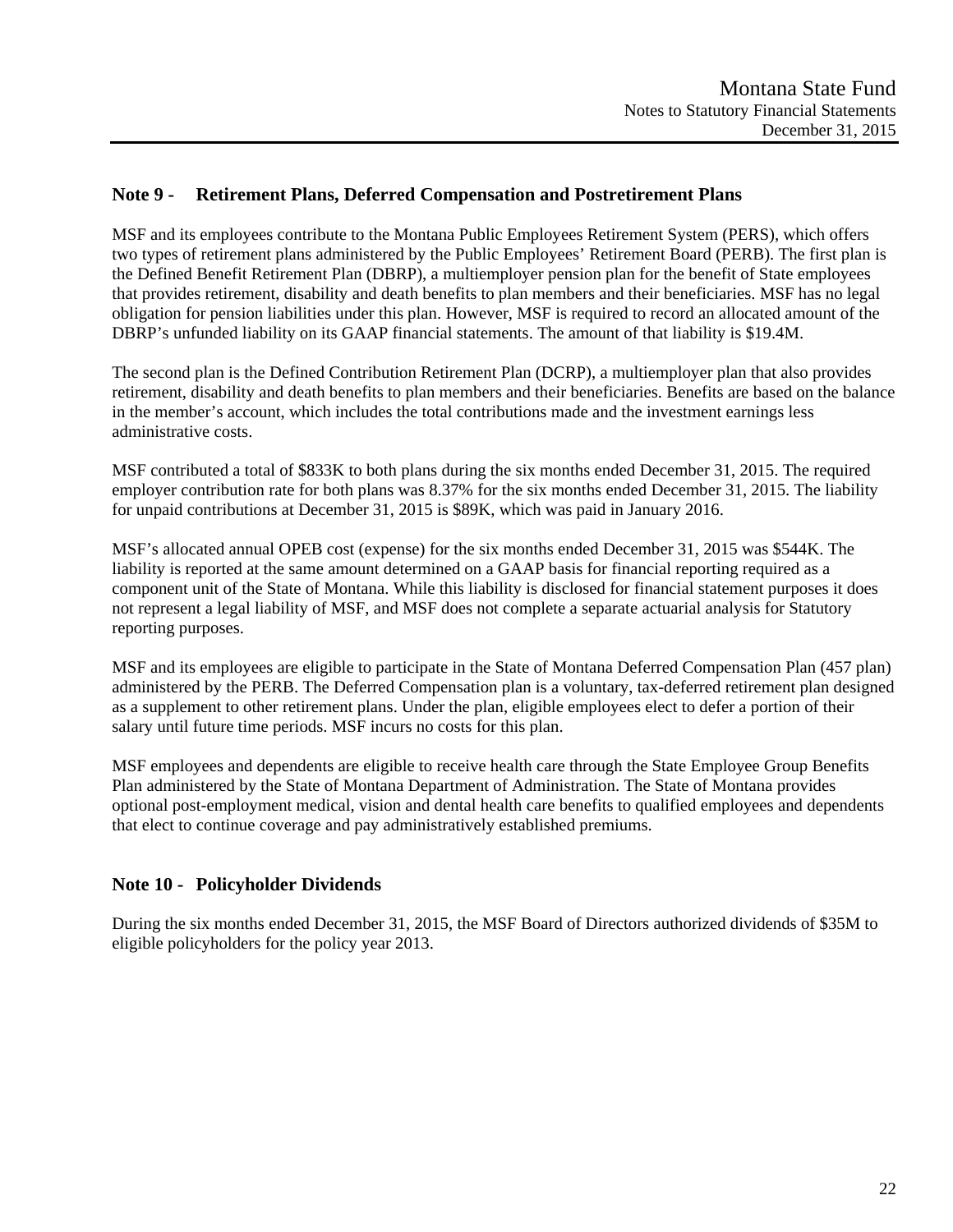## **Note 9 - Retirement Plans, Deferred Compensation and Postretirement Plans**

MSF and its employees contribute to the Montana Public Employees Retirement System (PERS), which offers two types of retirement plans administered by the Public Employees' Retirement Board (PERB). The first plan is the Defined Benefit Retirement Plan (DBRP), a multiemployer pension plan for the benefit of State employees that provides retirement, disability and death benefits to plan members and their beneficiaries. MSF has no legal obligation for pension liabilities under this plan. However, MSF is required to record an allocated amount of the DBRP's unfunded liability on its GAAP financial statements. The amount of that liability is \$19.4M.

The second plan is the Defined Contribution Retirement Plan (DCRP), a multiemployer plan that also provides retirement, disability and death benefits to plan members and their beneficiaries. Benefits are based on the balance in the member's account, which includes the total contributions made and the investment earnings less administrative costs.

MSF contributed a total of \$833K to both plans during the six months ended December 31, 2015. The required employer contribution rate for both plans was 8.37% for the six months ended December 31, 2015. The liability for unpaid contributions at December 31, 2015 is \$89K, which was paid in January 2016.

MSF's allocated annual OPEB cost (expense) for the six months ended December 31, 2015 was \$544K. The liability is reported at the same amount determined on a GAAP basis for financial reporting required as a component unit of the State of Montana. While this liability is disclosed for financial statement purposes it does not represent a legal liability of MSF, and MSF does not complete a separate actuarial analysis for Statutory reporting purposes.

MSF and its employees are eligible to participate in the State of Montana Deferred Compensation Plan (457 plan) administered by the PERB. The Deferred Compensation plan is a voluntary, tax-deferred retirement plan designed as a supplement to other retirement plans. Under the plan, eligible employees elect to defer a portion of their salary until future time periods. MSF incurs no costs for this plan.

MSF employees and dependents are eligible to receive health care through the State Employee Group Benefits Plan administered by the State of Montana Department of Administration. The State of Montana provides optional post-employment medical, vision and dental health care benefits to qualified employees and dependents that elect to continue coverage and pay administratively established premiums.

## **Note 10 - Policyholder Dividends**

During the six months ended December 31, 2015, the MSF Board of Directors authorized dividends of \$35M to eligible policyholders for the policy year 2013.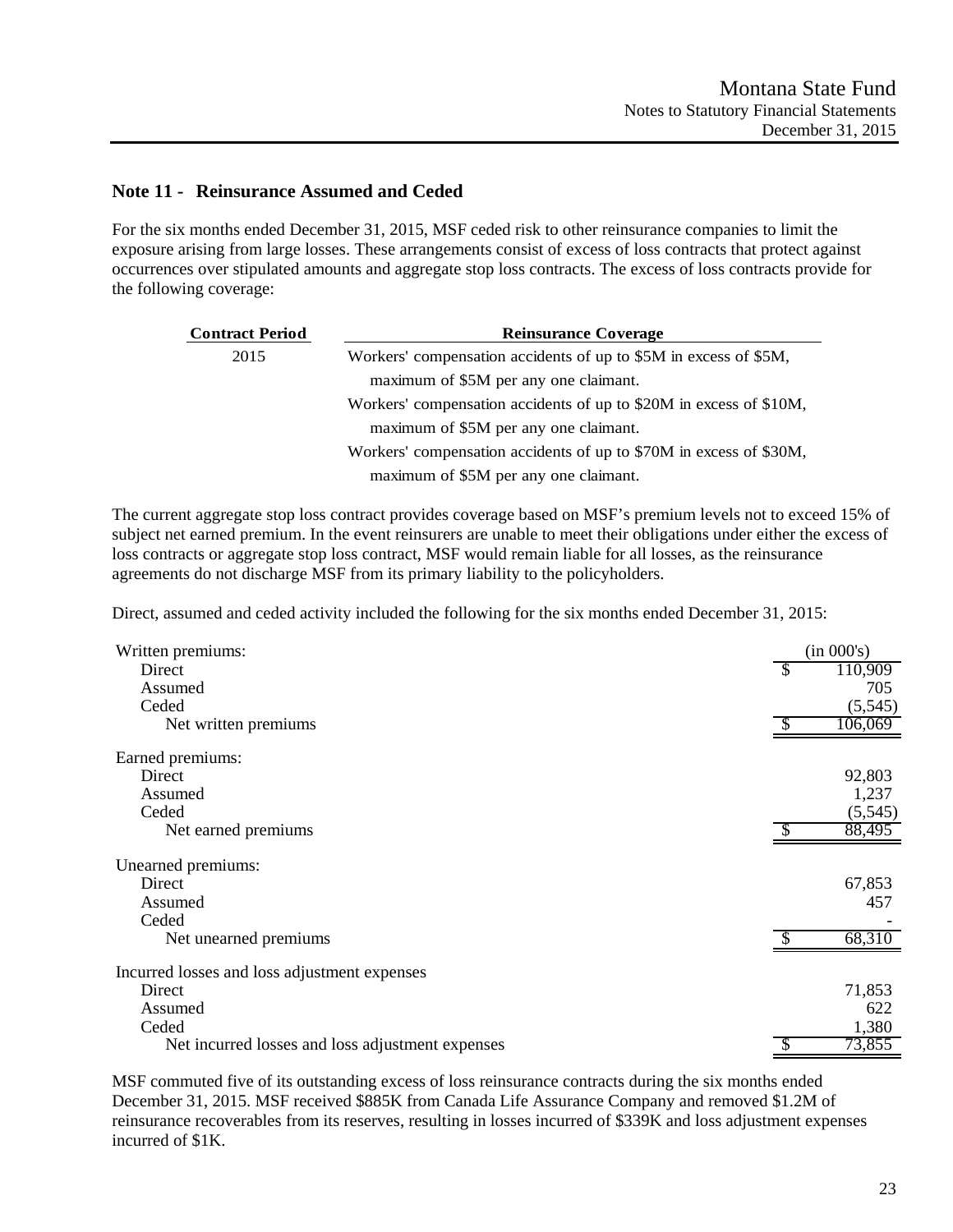## **Note 11 - Reinsurance Assumed and Ceded**

For the six months ended December 31, 2015, MSF ceded risk to other reinsurance companies to limit the exposure arising from large losses. These arrangements consist of excess of loss contracts that protect against occurrences over stipulated amounts and aggregate stop loss contracts. The excess of loss contracts provide for the following coverage:

| <b>Contract Period</b> | <b>Reinsurance Coverage</b>                                        |
|------------------------|--------------------------------------------------------------------|
| 2015                   | Workers' compensation accidents of up to \$5M in excess of \$5M,   |
|                        | maximum of \$5M per any one claimant.                              |
|                        | Workers' compensation accidents of up to \$20M in excess of \$10M, |
|                        | maximum of \$5M per any one claimant.                              |
|                        | Workers' compensation accidents of up to \$70M in excess of \$30M, |
|                        | maximum of \$5M per any one claimant.                              |

The current aggregate stop loss contract provides coverage based on MSF's premium levels not to exceed 15% of subject net earned premium. In the event reinsurers are unable to meet their obligations under either the excess of loss contracts or aggregate stop loss contract, MSF would remain liable for all losses, as the reinsurance agreements do not discharge MSF from its primary liability to the policyholders.

Direct, assumed and ceded activity included the following for the six months ended December 31, 2015:

| Written premiums:                                |              | (in 000's) |
|--------------------------------------------------|--------------|------------|
| Direct                                           | $\mathbb{S}$ | 110,909    |
| Assumed                                          |              | 705        |
| Ceded                                            |              | (5, 545)   |
| Net written premiums                             |              | 106,069    |
|                                                  |              |            |
| Earned premiums:                                 |              |            |
| Direct                                           |              | 92,803     |
| Assumed                                          |              | 1,237      |
| Ceded                                            |              | (5, 545)   |
| Net earned premiums                              |              | 88,495     |
|                                                  |              |            |
| Unearned premiums:                               |              |            |
| Direct                                           |              | 67,853     |
| Assumed                                          |              | 457        |
| Ceded                                            |              |            |
| Net unearned premiums                            |              | 68,310     |
|                                                  |              |            |
| Incurred losses and loss adjustment expenses     |              |            |
| Direct                                           |              | 71,853     |
| Assumed                                          |              | 622        |
| Ceded                                            |              | 1,380      |
|                                                  |              | 73,855     |
| Net incurred losses and loss adjustment expenses | P            |            |

MSF commuted five of its outstanding excess of loss reinsurance contracts during the six months ended December 31, 2015. MSF received \$885K from Canada Life Assurance Company and removed \$1.2M of reinsurance recoverables from its reserves, resulting in losses incurred of \$339K and loss adjustment expenses incurred of \$1K.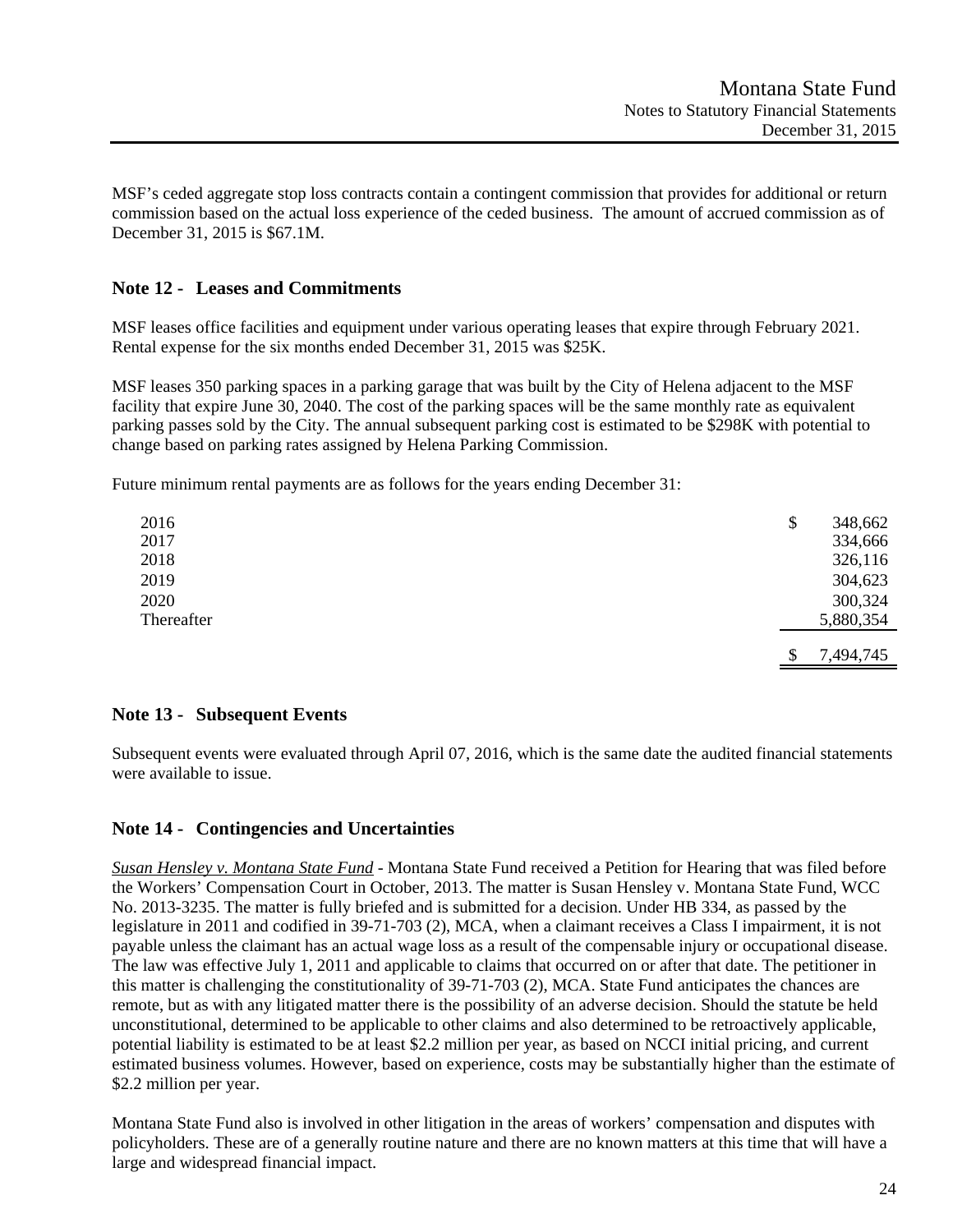MSF's ceded aggregate stop loss contracts contain a contingent commission that provides for additional or return commission based on the actual loss experience of the ceded business. The amount of accrued commission as of December 31, 2015 is \$67.1M.

## **Note 12 - Leases and Commitments**

MSF leases office facilities and equipment under various operating leases that expire through February 2021. Rental expense for the six months ended December 31, 2015 was \$25K.

MSF leases 350 parking spaces in a parking garage that was built by the City of Helena adjacent to the MSF facility that expire June 30, 2040. The cost of the parking spaces will be the same monthly rate as equivalent parking passes sold by the City. The annual subsequent parking cost is estimated to be \$298K with potential to change based on parking rates assigned by Helena Parking Commission.

Future minimum rental payments are as follows for the years ending December 31:

| 2016<br>2017 | 348,662<br>\$<br>334,666 |
|--------------|--------------------------|
| 2018         | 326,116                  |
| 2019         | 304,623                  |
| 2020         | 300,324                  |
| Thereafter   | 5,880,354                |
|              | 7,494,745<br>S           |

## **Note 13 - Subsequent Events**

Subsequent events were evaluated through April 07, 2016, which is the same date the audited financial statements were available to issue.

## **Note 14 - Contingencies and Uncertainties**

*Susan Hensley v. Montana State Fund* - Montana State Fund received a Petition for Hearing that was filed before the Workers' Compensation Court in October, 2013. The matter is Susan Hensley v. Montana State Fund, WCC No. 2013-3235. The matter is fully briefed and is submitted for a decision. Under HB 334, as passed by the legislature in 2011 and codified in 39-71-703 (2), MCA, when a claimant receives a Class I impairment, it is not payable unless the claimant has an actual wage loss as a result of the compensable injury or occupational disease. The law was effective July 1, 2011 and applicable to claims that occurred on or after that date. The petitioner in this matter is challenging the constitutionality of 39-71-703 (2), MCA. State Fund anticipates the chances are remote, but as with any litigated matter there is the possibility of an adverse decision. Should the statute be held unconstitutional, determined to be applicable to other claims and also determined to be retroactively applicable, potential liability is estimated to be at least \$2.2 million per year, as based on NCCI initial pricing, and current estimated business volumes. However, based on experience, costs may be substantially higher than the estimate of \$2.2 million per year.

Montana State Fund also is involved in other litigation in the areas of workers' compensation and disputes with policyholders. These are of a generally routine nature and there are no known matters at this time that will have a large and widespread financial impact.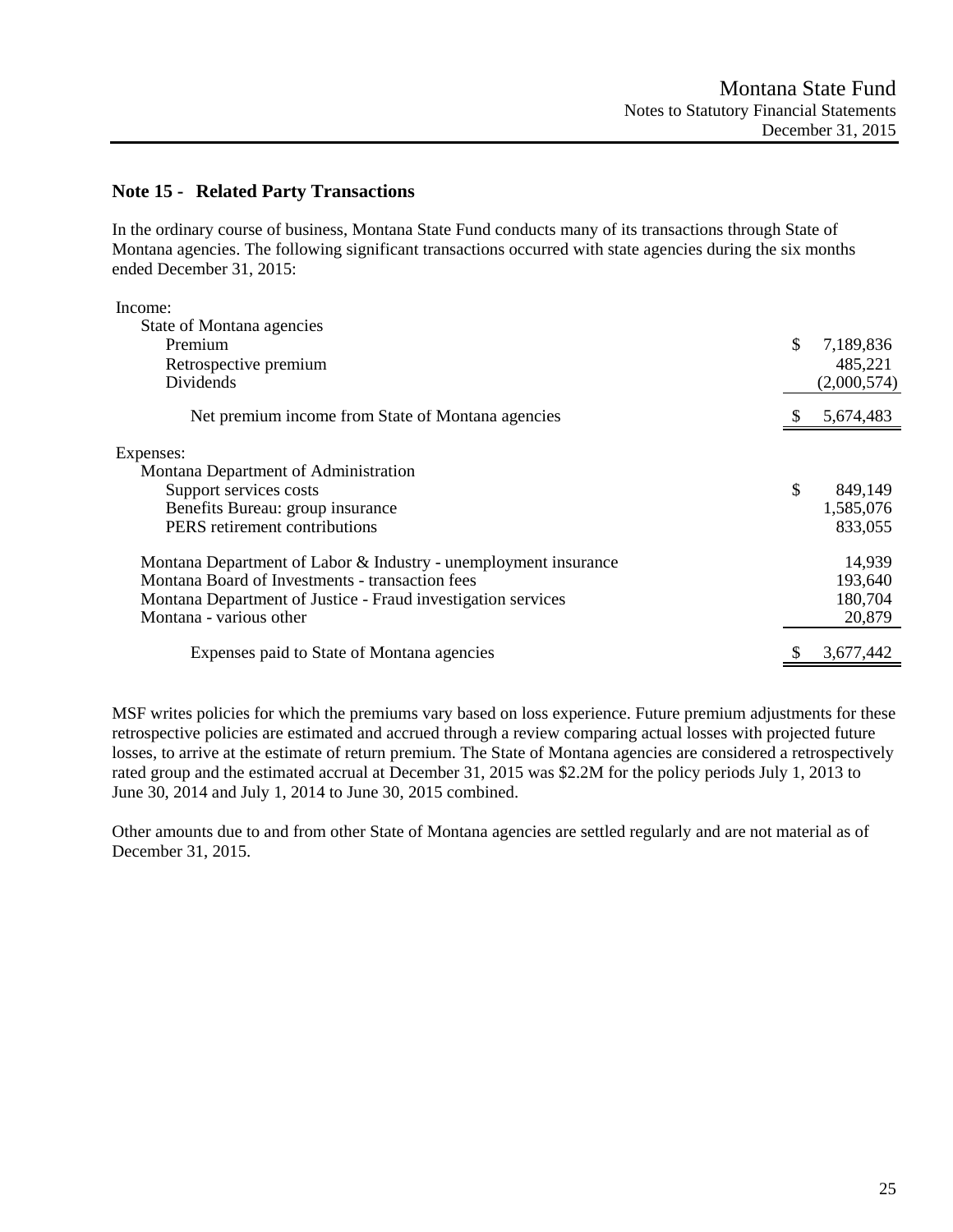## **Note 15 - Related Party Transactions**

In the ordinary course of business, Montana State Fund conducts many of its transactions through State of Montana agencies. The following significant transactions occurred with state agencies during the six months ended December 31, 2015:

| Income:                                                         |                 |
|-----------------------------------------------------------------|-----------------|
| State of Montana agencies                                       |                 |
| Premium                                                         | \$<br>7,189,836 |
| Retrospective premium                                           | 485,221         |
| Dividends                                                       | (2,000,574)     |
| Net premium income from State of Montana agencies               | 5,674,483       |
| Expenses:                                                       |                 |
| Montana Department of Administration                            |                 |
| Support services costs                                          | \$<br>849,149   |
| Benefits Bureau: group insurance                                | 1,585,076       |
| PERS retirement contributions                                   | 833,055         |
| Montana Department of Labor & Industry - unemployment insurance | 14,939          |
| Montana Board of Investments - transaction fees                 | 193,640         |
| Montana Department of Justice - Fraud investigation services    | 180,704         |
| Montana - various other                                         | 20,879          |
| Expenses paid to State of Montana agencies                      | 3,677,442       |

MSF writes policies for which the premiums vary based on loss experience. Future premium adjustments for these retrospective policies are estimated and accrued through a review comparing actual losses with projected future losses, to arrive at the estimate of return premium. The State of Montana agencies are considered a retrospectively rated group and the estimated accrual at December 31, 2015 was \$2.2M for the policy periods July 1, 2013 to June 30, 2014 and July 1, 2014 to June 30, 2015 combined.

Other amounts due to and from other State of Montana agencies are settled regularly and are not material as of December 31, 2015.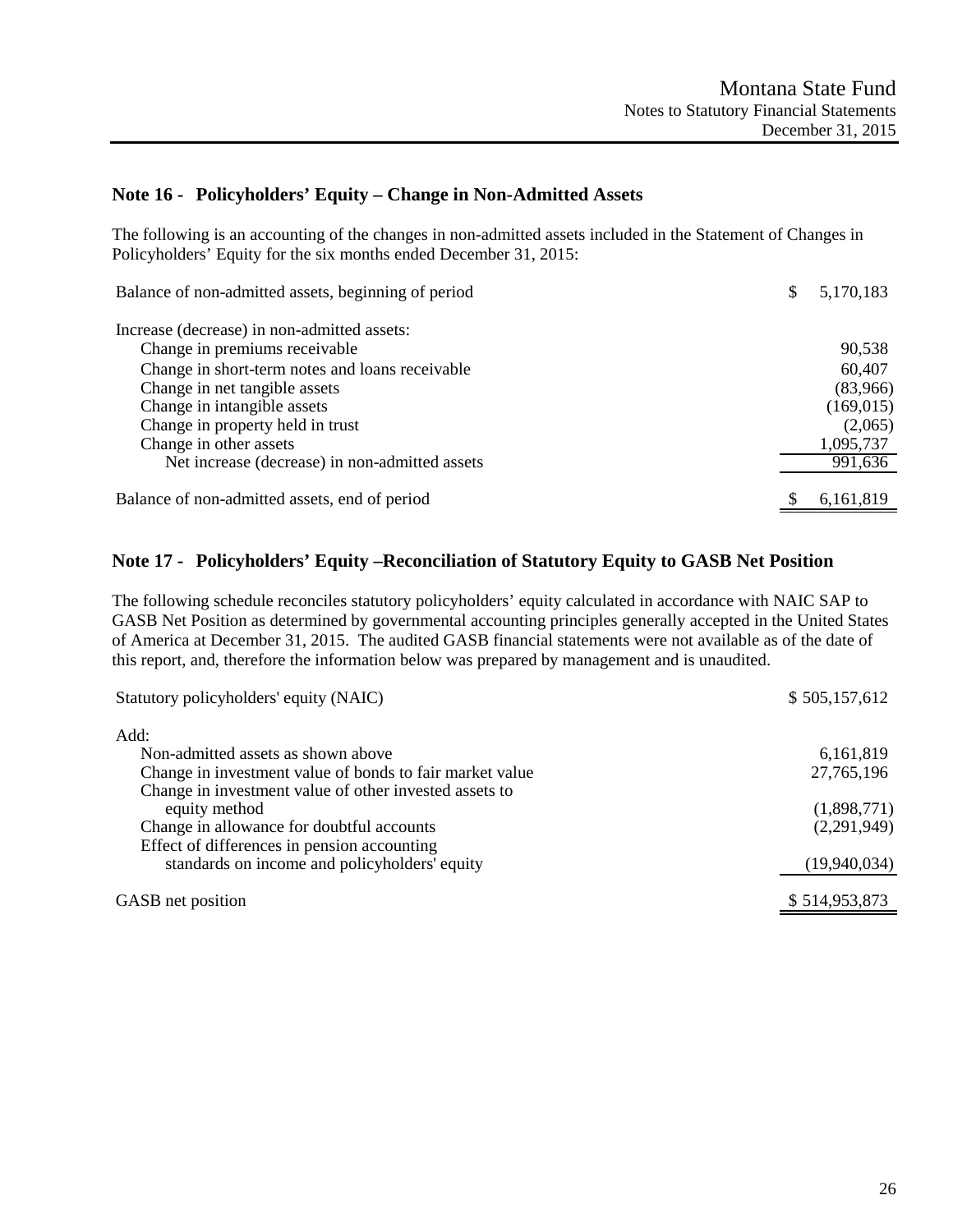## **Note 16 - Policyholders' Equity – Change in Non-Admitted Assets**

The following is an accounting of the changes in non-admitted assets included in the Statement of Changes in Policyholders' Equity for the six months ended December 31, 2015:

| Balance of non-admitted assets, beginning of period | S | 5,170,183  |
|-----------------------------------------------------|---|------------|
| Increase (decrease) in non-admitted assets:         |   |            |
| Change in premiums receivable                       |   | 90,538     |
| Change in short-term notes and loans receivable     |   | 60,407     |
| Change in net tangible assets                       |   | (83,966)   |
| Change in intangible assets                         |   | (169, 015) |
| Change in property held in trust                    |   | (2,065)    |
| Change in other assets                              |   | 1,095,737  |
| Net increase (decrease) in non-admitted assets      |   | 991,636    |
| Balance of non-admitted assets, end of period       |   | 6,161,819  |

## **Note 17 - Policyholders' Equity –Reconciliation of Statutory Equity to GASB Net Position**

The following schedule reconciles statutory policyholders' equity calculated in accordance with NAIC SAP to GASB Net Position as determined by governmental accounting principles generally accepted in the United States of America at December 31, 2015. The audited GASB financial statements were not available as of the date of this report, and, therefore the information below was prepared by management and is unaudited.

| Statutory policyholders' equity (NAIC)                   | \$505,157,612 |
|----------------------------------------------------------|---------------|
| Add:                                                     |               |
| Non-admitted assets as shown above                       | 6,161,819     |
| Change in investment value of bonds to fair market value | 27,765,196    |
| Change in investment value of other invested assets to   |               |
| equity method                                            | (1,898,771)   |
| Change in allowance for doubtful accounts                | (2,291,949)   |
| Effect of differences in pension accounting              |               |
| standards on income and policyholders' equity            | (19,940,034)  |
| GASB net position                                        | \$514,953,873 |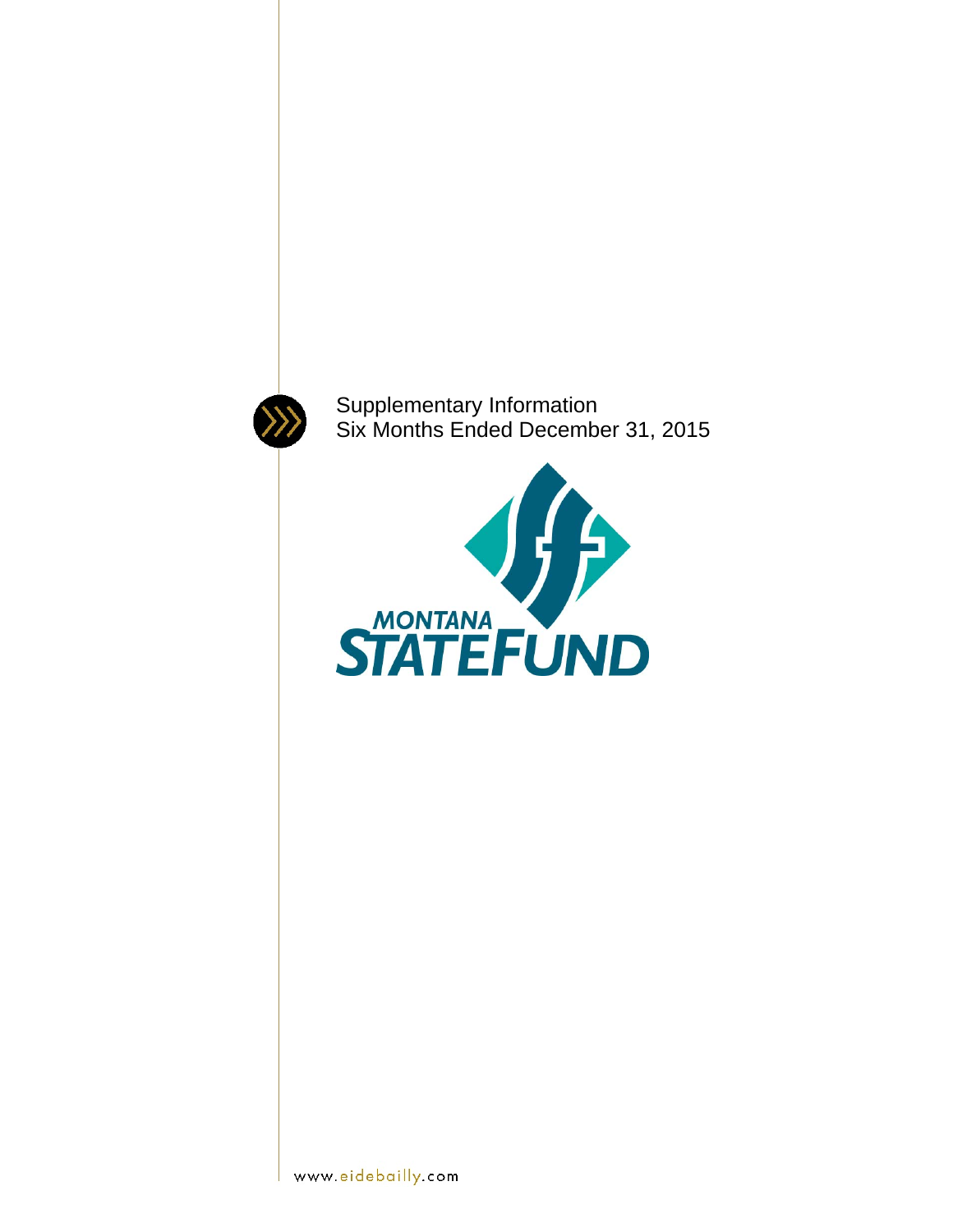

Supplementary Information Six Months Ended December 31, 2015

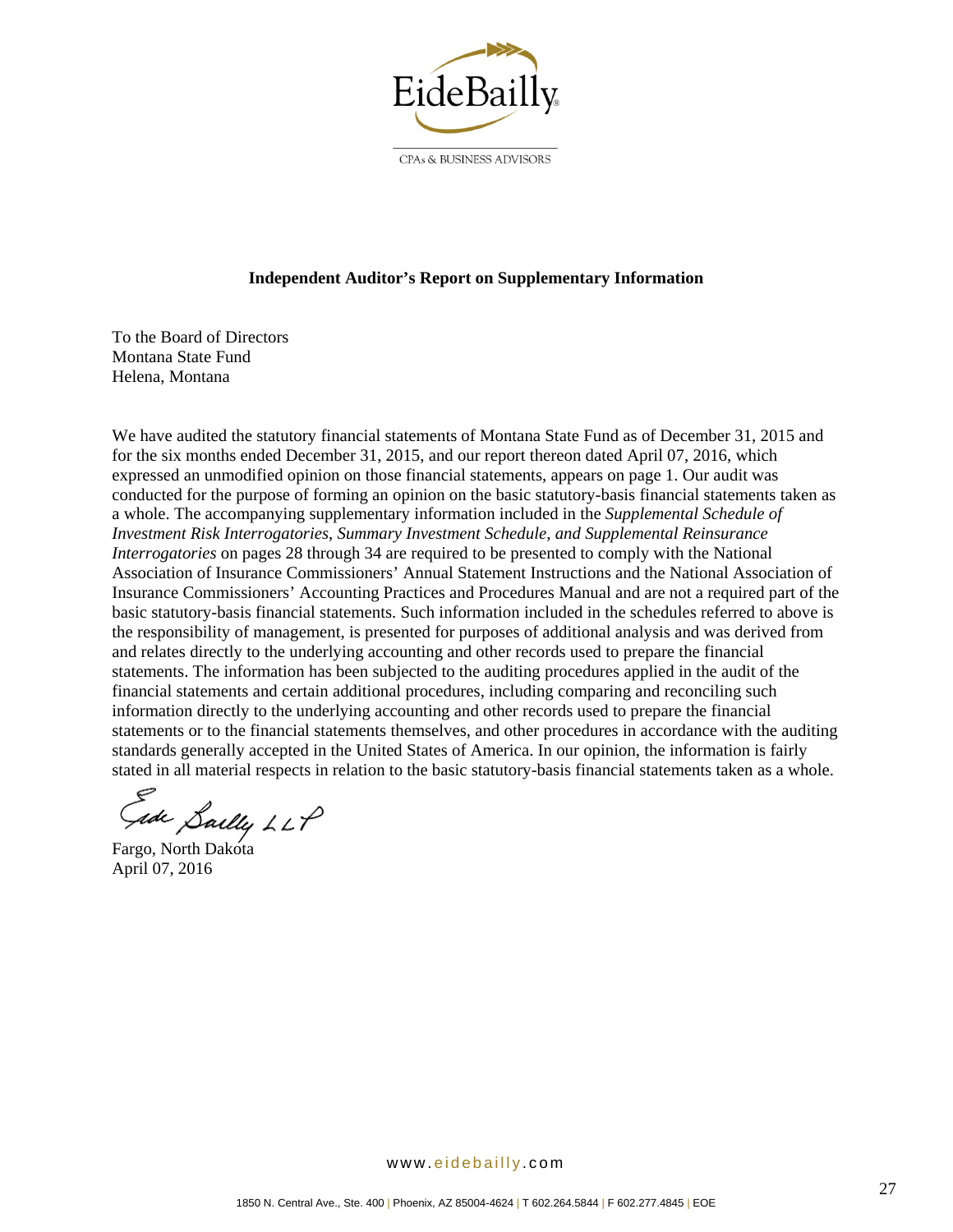

CPAs & BUSINESS ADVISORS

### **Independent Auditor's Report on Supplementary Information**

To the Board of Directors Montana State Fund Helena, Montana

We have audited the statutory financial statements of Montana State Fund as of December 31, 2015 and for the six months ended December 31, 2015, and our report thereon dated April 07, 2016, which expressed an unmodified opinion on those financial statements, appears on page 1. Our audit was conducted for the purpose of forming an opinion on the basic statutory-basis financial statements taken as a whole. The accompanying supplementary information included in the *Supplemental Schedule of Investment Risk Interrogatories*, *Summary Investment Schedule, and Supplemental Reinsurance Interrogatories* on pages 28 through 34 are required to be presented to comply with the National Association of Insurance Commissioners' Annual Statement Instructions and the National Association of Insurance Commissioners' Accounting Practices and Procedures Manual and are not a required part of the basic statutory-basis financial statements. Such information included in the schedules referred to above is the responsibility of management, is presented for purposes of additional analysis and was derived from and relates directly to the underlying accounting and other records used to prepare the financial statements. The information has been subjected to the auditing procedures applied in the audit of the financial statements and certain additional procedures, including comparing and reconciling such information directly to the underlying accounting and other records used to prepare the financial statements or to the financial statements themselves, and other procedures in accordance with the auditing standards generally accepted in the United States of America. In our opinion, the information is fairly stated in all material respects in relation to the basic statutory-basis financial statements taken as a whole.

Sally LLP<br>Fargo, North Dakota

April 07, 2016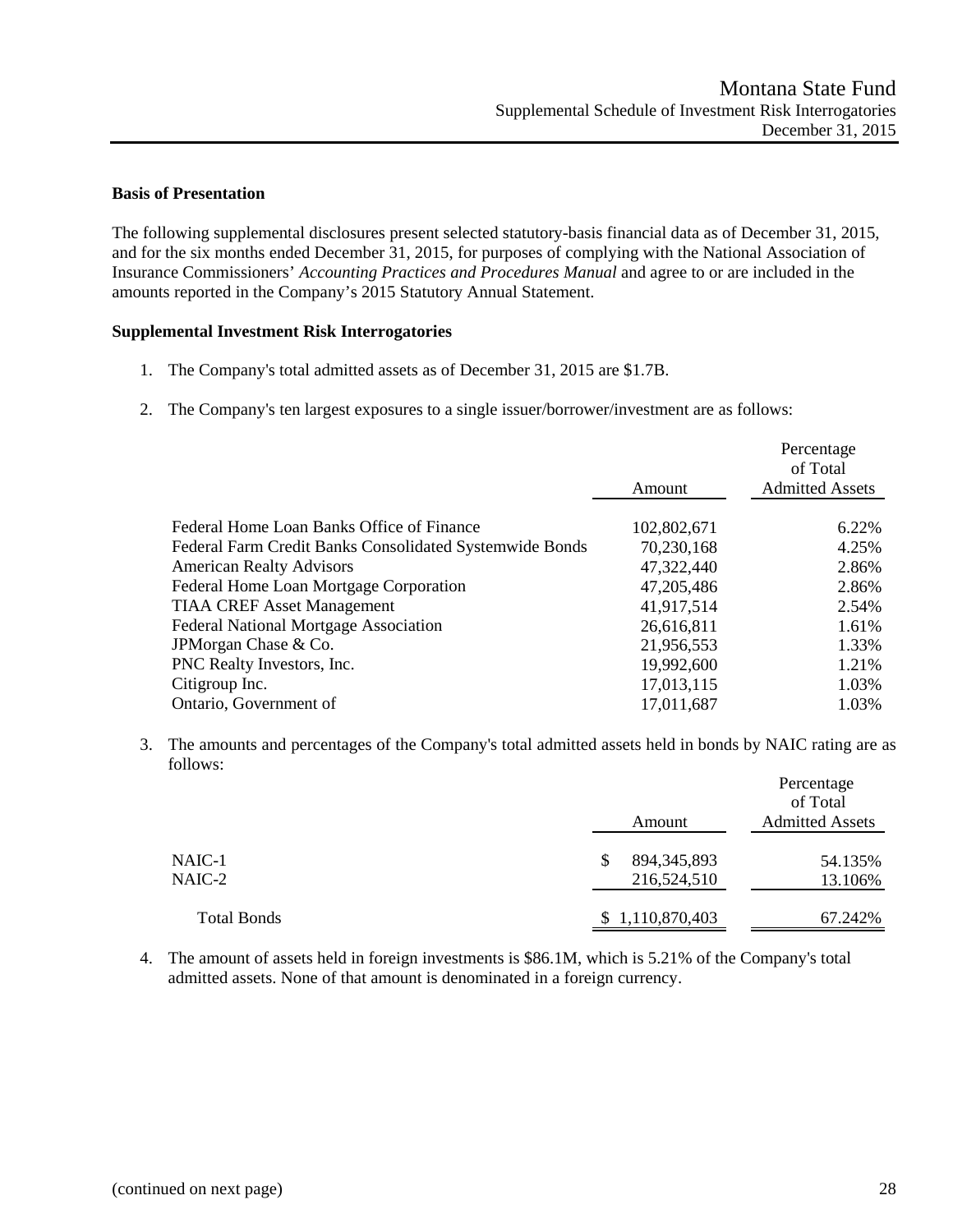#### **Basis of Presentation**

The following supplemental disclosures present selected statutory-basis financial data as of December 31, 2015, and for the six months ended December 31, 2015, for purposes of complying with the National Association of Insurance Commissioners' *Accounting Practices and Procedures Manual* and agree to or are included in the amounts reported in the Company's 2015 Statutory Annual Statement.

#### **Supplemental Investment Risk Interrogatories**

- 1. The Company's total admitted assets as of December 31, 2015 are \$1.7B.
- 2. The Company's ten largest exposures to a single issuer/borrower/investment are as follows:

|                                                         |             | Percentage<br>of Total |
|---------------------------------------------------------|-------------|------------------------|
|                                                         | Amount      | <b>Admitted Assets</b> |
| Federal Home Loan Banks Office of Finance               | 102,802,671 | 6.22%                  |
| Federal Farm Credit Banks Consolidated Systemwide Bonds | 70,230,168  | 4.25%                  |
| <b>American Realty Advisors</b>                         | 47,322,440  | 2.86%                  |
| Federal Home Loan Mortgage Corporation                  | 47,205,486  | 2.86%                  |
| <b>TIAA CREF Asset Management</b>                       | 41,917,514  | 2.54%                  |
| <b>Federal National Mortgage Association</b>            | 26,616,811  | 1.61%                  |
| JPM organ Chase & Co.                                   | 21,956,553  | 1.33%                  |
| PNC Realty Investors, Inc.                              | 19,992,600  | 1.21%                  |
| Citigroup Inc.                                          | 17,013,115  | 1.03%                  |
| Ontario, Government of                                  | 17,011,687  | 1.03%                  |

3. The amounts and percentages of the Company's total admitted assets held in bonds by NAIC rating are as follows:

|             | Amount          | Percentage<br>of Total<br><b>Admitted Assets</b> |
|-------------|-----------------|--------------------------------------------------|
| NAIC-1      | 894, 345, 893   | 54.135%                                          |
| NAIC-2      | 216,524,510     | 13.106%                                          |
| Total Bonds | \$1,110,870,403 | 67.242\%                                         |

4. The amount of assets held in foreign investments is \$86.1M, which is 5.21% of the Company's total admitted assets. None of that amount is denominated in a foreign currency.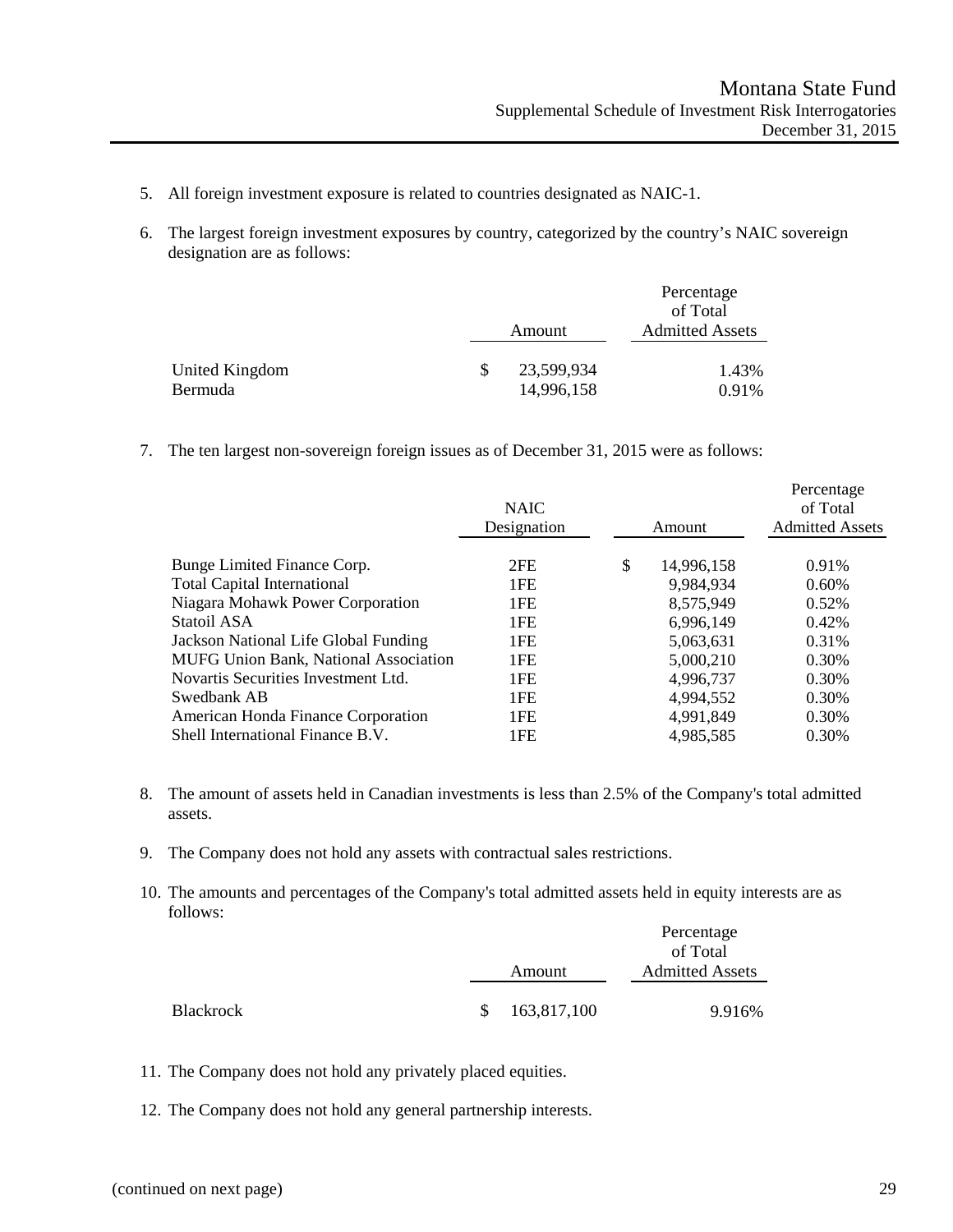- 5. All foreign investment exposure is related to countries designated as NAIC-1.
- 6. The largest foreign investment exposures by country, categorized by the country's NAIC sovereign designation are as follows:

|                           |                          | Percentage<br>of Total |  |  |
|---------------------------|--------------------------|------------------------|--|--|
|                           | Amount                   | <b>Admitted Assets</b> |  |  |
| United Kingdom<br>Bermuda | 23,599,934<br>14,996,158 | 1.43%<br>0.91%         |  |  |

7. The ten largest non-sovereign foreign issues as of December 31, 2015 were as follows:

|                                              | <b>NAIC</b><br>Designation<br>Amount |    |            | Percentage<br>of Total<br><b>Admitted Assets</b> |  |
|----------------------------------------------|--------------------------------------|----|------------|--------------------------------------------------|--|
| Bunge Limited Finance Corp.                  | 2FE                                  | \$ | 14,996,158 | 0.91%                                            |  |
| <b>Total Capital International</b>           | 1FE                                  |    | 9,984,934  | 0.60%                                            |  |
| Niagara Mohawk Power Corporation             | 1FE                                  |    | 8,575,949  | 0.52%                                            |  |
| Statoil ASA                                  | 1FE                                  |    | 6,996,149  | 0.42%                                            |  |
| Jackson National Life Global Funding         | 1FE                                  |    | 5,063,631  | 0.31%                                            |  |
| <b>MUFG Union Bank, National Association</b> | 1FE                                  |    | 5,000,210  | 0.30%                                            |  |
| Novartis Securities Investment Ltd.          | 1FE                                  |    | 4,996,737  | 0.30%                                            |  |
| Swedbank AB                                  | 1FE                                  |    | 4,994,552  | 0.30%                                            |  |
| American Honda Finance Corporation           | 1FE                                  |    | 4,991,849  | 0.30%                                            |  |
| Shell International Finance B.V.             | 1FE                                  |    | 4,985,585  | 0.30%                                            |  |

- 8. The amount of assets held in Canadian investments is less than 2.5% of the Company's total admitted assets.
- 9. The Company does not hold any assets with contractual sales restrictions.
- 10. The amounts and percentages of the Company's total admitted assets held in equity interests are as follows:

|           |    |             | Percentage             |
|-----------|----|-------------|------------------------|
|           |    |             | of Total               |
|           |    | Amount      | <b>Admitted Assets</b> |
|           |    |             |                        |
| Blackrock | S. | 163,817,100 | 9.916%                 |

- 11. The Company does not hold any privately placed equities.
- 12. The Company does not hold any general partnership interests.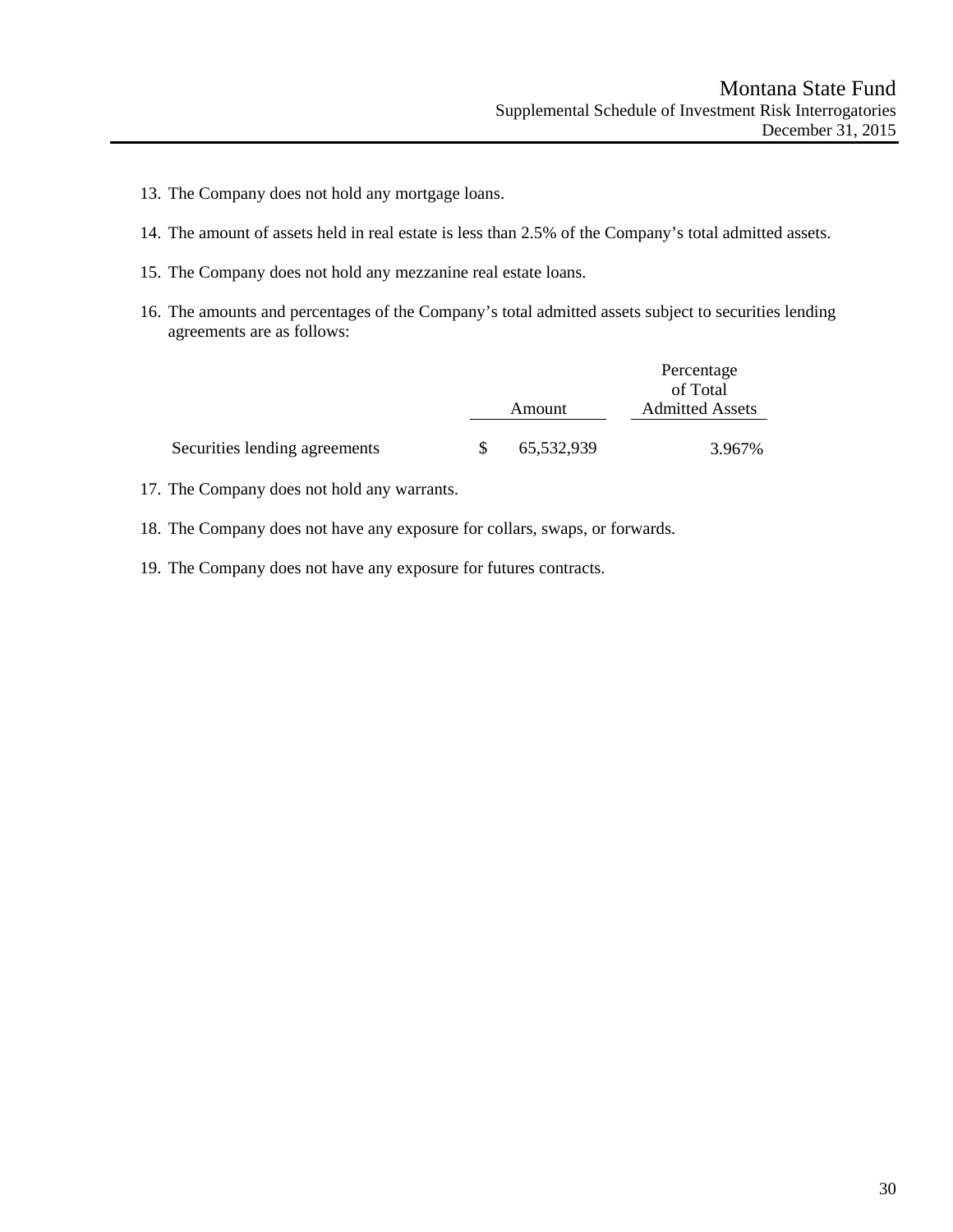- 13. The Company does not hold any mortgage loans.
- 14. The amount of assets held in real estate is less than 2.5% of the Company's total admitted assets.
- 15. The Company does not hold any mezzanine real estate loans.
- 16. The amounts and percentages of the Company's total admitted assets subject to securities lending agreements are as follows:

|                               |            | Percentage             |  |  |
|-------------------------------|------------|------------------------|--|--|
|                               |            | of Total               |  |  |
|                               | Amount     | <b>Admitted Assets</b> |  |  |
|                               |            |                        |  |  |
| Securities lending agreements | 65,532,939 | 3.967%                 |  |  |

- 17. The Company does not hold any warrants.
- 18. The Company does not have any exposure for collars, swaps, or forwards.
- 19. The Company does not have any exposure for futures contracts.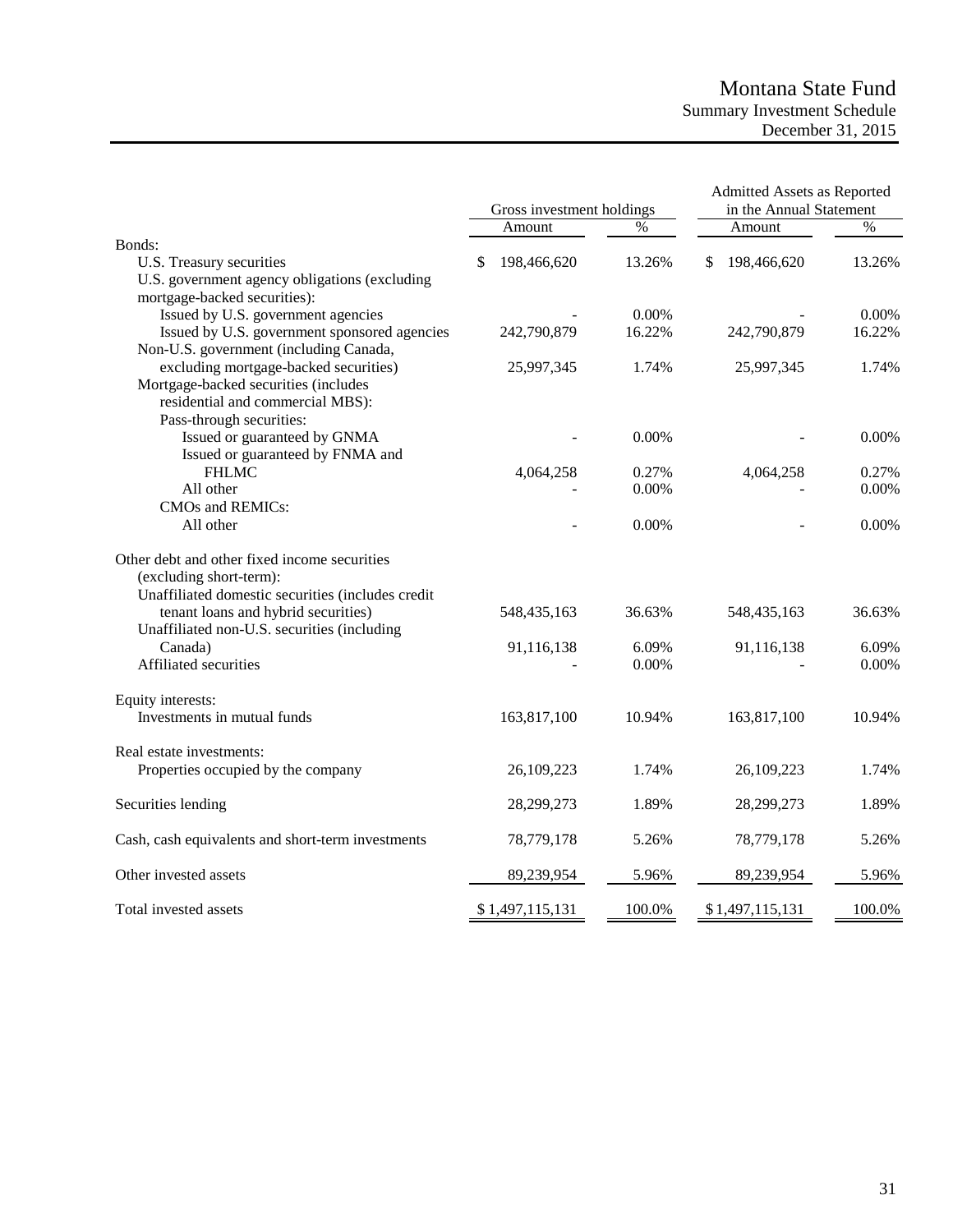# Montana State Fund Summary Investment Schedule December 31, 2015

|                                                   | Gross investment holdings |                 | Admitted Assets as Reported<br>in the Annual Statement |    |                 |        |
|---------------------------------------------------|---------------------------|-----------------|--------------------------------------------------------|----|-----------------|--------|
|                                                   |                           | Amount          | $\%$                                                   |    | Amount          | $\%$   |
| Bonds:                                            |                           |                 |                                                        |    |                 |        |
| U.S. Treasury securities                          | S                         | 198,466,620     | 13.26%                                                 | \$ | 198,466,620     | 13.26% |
| U.S. government agency obligations (excluding     |                           |                 |                                                        |    |                 |        |
| mortgage-backed securities):                      |                           |                 |                                                        |    |                 |        |
| Issued by U.S. government agencies                |                           |                 | 0.00%                                                  |    |                 | 0.00%  |
| Issued by U.S. government sponsored agencies      |                           | 242,790,879     | 16.22%                                                 |    | 242,790,879     | 16.22% |
| Non-U.S. government (including Canada,            |                           |                 |                                                        |    |                 |        |
| excluding mortgage-backed securities)             |                           | 25,997,345      | 1.74%                                                  |    | 25,997,345      | 1.74%  |
| Mortgage-backed securities (includes              |                           |                 |                                                        |    |                 |        |
| residential and commercial MBS):                  |                           |                 |                                                        |    |                 |        |
| Pass-through securities:                          |                           |                 |                                                        |    |                 |        |
| Issued or guaranteed by GNMA                      |                           |                 | 0.00%                                                  |    |                 | 0.00%  |
| Issued or guaranteed by FNMA and                  |                           |                 |                                                        |    |                 |        |
| <b>FHLMC</b>                                      |                           | 4,064,258       | 0.27%                                                  |    | 4,064,258       | 0.27%  |
| All other                                         |                           |                 | 0.00%                                                  |    |                 | 0.00%  |
| CMOs and REMICs:                                  |                           |                 |                                                        |    |                 |        |
| All other                                         |                           |                 | 0.00%                                                  |    |                 | 0.00%  |
| Other debt and other fixed income securities      |                           |                 |                                                        |    |                 |        |
| (excluding short-term):                           |                           |                 |                                                        |    |                 |        |
| Unaffiliated domestic securities (includes credit |                           |                 |                                                        |    |                 |        |
| tenant loans and hybrid securities)               |                           | 548,435,163     | 36.63%                                                 |    | 548,435,163     | 36.63% |
| Unaffiliated non-U.S. securities (including       |                           |                 |                                                        |    |                 |        |
| Canada)                                           |                           | 91,116,138      | 6.09%                                                  |    | 91,116,138      | 6.09%  |
| Affiliated securities                             |                           |                 | 0.00%                                                  |    |                 | 0.00%  |
| Equity interests:                                 |                           |                 |                                                        |    |                 |        |
| Investments in mutual funds                       |                           | 163,817,100     | 10.94%                                                 |    | 163,817,100     | 10.94% |
|                                                   |                           |                 |                                                        |    |                 |        |
| Real estate investments:                          |                           |                 |                                                        |    |                 |        |
| Properties occupied by the company                |                           | 26,109,223      | 1.74%                                                  |    | 26,109,223      | 1.74%  |
| Securities lending                                |                           | 28,299,273      | 1.89%                                                  |    | 28,299,273      | 1.89%  |
| Cash, cash equivalents and short-term investments |                           | 78,779,178      | 5.26%                                                  |    | 78,779,178      | 5.26%  |
| Other invested assets                             |                           | 89,239,954      | 5.96%                                                  |    | 89,239,954      | 5.96%  |
| Total invested assets                             |                           | \$1,497,115,131 | 100.0%                                                 |    | \$1,497,115,131 | 100.0% |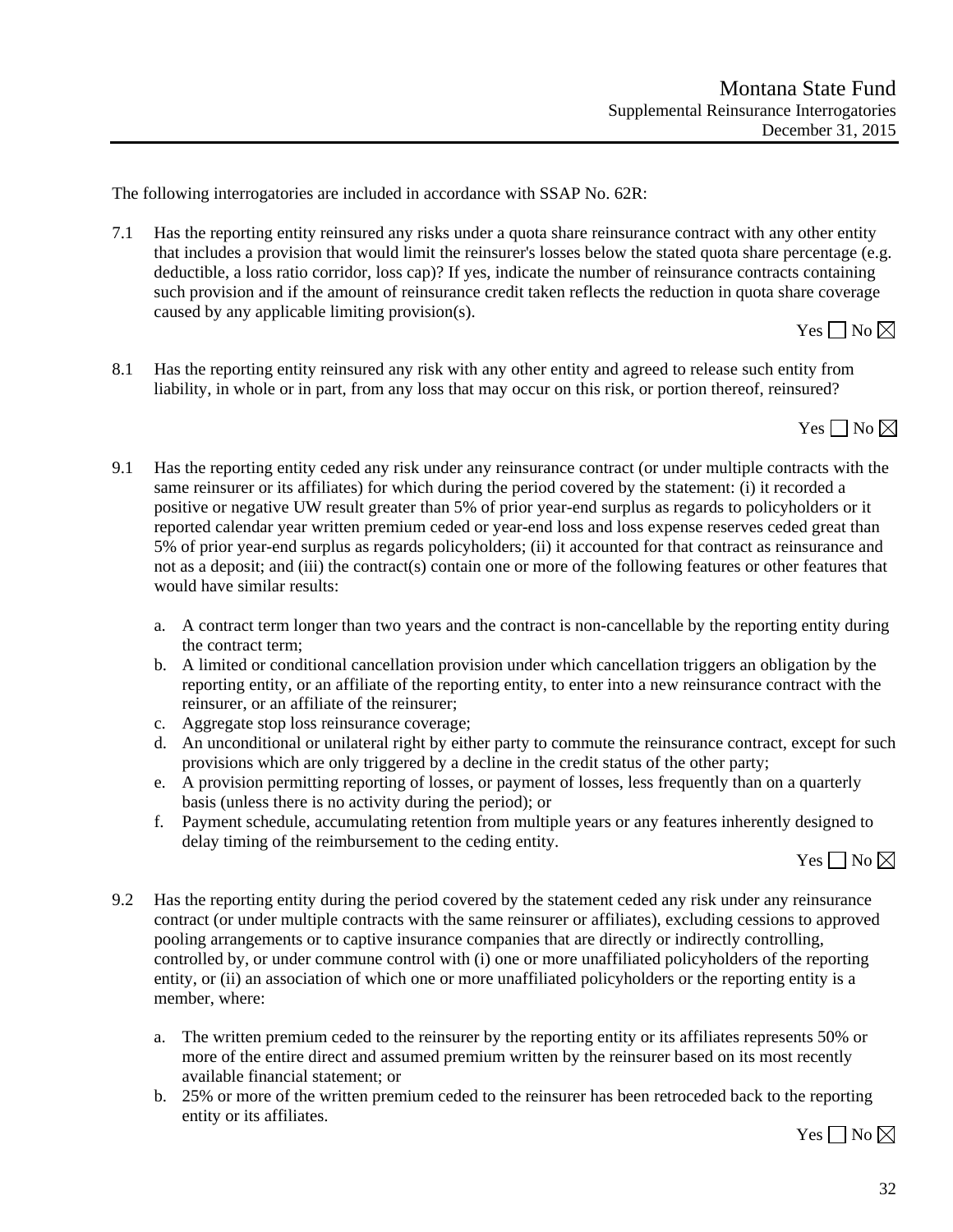The following interrogatories are included in accordance with SSAP No. 62R:

7.1 Has the reporting entity reinsured any risks under a quota share reinsurance contract with any other entity that includes a provision that would limit the reinsurer's losses below the stated quota share percentage (e.g. deductible, a loss ratio corridor, loss cap)? If yes, indicate the number of reinsurance contracts containing such provision and if the amount of reinsurance credit taken reflects the reduction in quota share coverage caused by any applicable limiting provision(s).

Yes  $\Box$  No  $\boxtimes$ 

8.1 Has the reporting entity reinsured any risk with any other entity and agreed to release such entity from liability, in whole or in part, from any loss that may occur on this risk, or portion thereof, reinsured?



- 9.1 Has the reporting entity ceded any risk under any reinsurance contract (or under multiple contracts with the same reinsurer or its affiliates) for which during the period covered by the statement: (i) it recorded a positive or negative UW result greater than 5% of prior year-end surplus as regards to policyholders or it reported calendar year written premium ceded or year-end loss and loss expense reserves ceded great than 5% of prior year-end surplus as regards policyholders; (ii) it accounted for that contract as reinsurance and not as a deposit; and (iii) the contract(s) contain one or more of the following features or other features that would have similar results:
	- a. A contract term longer than two years and the contract is non-cancellable by the reporting entity during the contract term;
	- b. A limited or conditional cancellation provision under which cancellation triggers an obligation by the reporting entity, or an affiliate of the reporting entity, to enter into a new reinsurance contract with the reinsurer, or an affiliate of the reinsurer;
	- c. Aggregate stop loss reinsurance coverage;
	- d. An unconditional or unilateral right by either party to commute the reinsurance contract, except for such provisions which are only triggered by a decline in the credit status of the other party;
	- e. A provision permitting reporting of losses, or payment of losses, less frequently than on a quarterly basis (unless there is no activity during the period); or
	- f. Payment schedule, accumulating retention from multiple years or any features inherently designed to delay timing of the reimbursement to the ceding entity.

Yes  $\Box$  No  $\boxtimes$ 

- 9.2 Has the reporting entity during the period covered by the statement ceded any risk under any reinsurance contract (or under multiple contracts with the same reinsurer or affiliates), excluding cessions to approved pooling arrangements or to captive insurance companies that are directly or indirectly controlling, controlled by, or under commune control with (i) one or more unaffiliated policyholders of the reporting entity, or (ii) an association of which one or more unaffiliated policyholders or the reporting entity is a member, where:
	- a. The written premium ceded to the reinsurer by the reporting entity or its affiliates represents 50% or more of the entire direct and assumed premium written by the reinsurer based on its most recently available financial statement; or
	- b. 25% or more of the written premium ceded to the reinsurer has been retroceded back to the reporting entity or its affiliates.

Yes  $\neg$  No  $\not\boxtimes$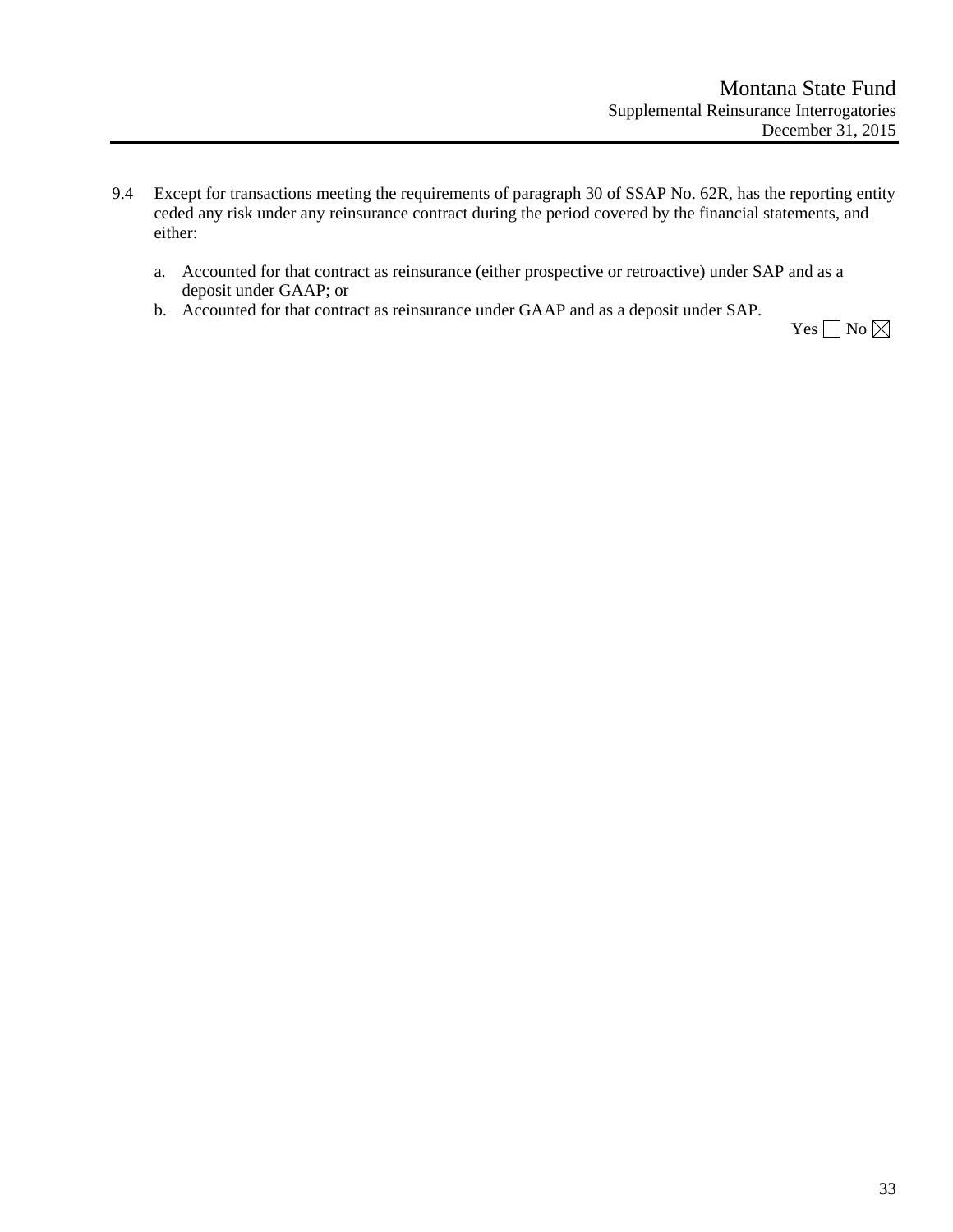- 9.4 Except for transactions meeting the requirements of paragraph 30 of SSAP No. 62R, has the reporting entity ceded any risk under any reinsurance contract during the period covered by the financial statements, and either:
	- a. Accounted for that contract as reinsurance (either prospective or retroactive) under SAP and as a deposit under GAAP; or
	- b. Accounted for that contract as reinsurance under GAAP and as a deposit under SAP.

Yes  $\Box$  No  $\boxtimes$